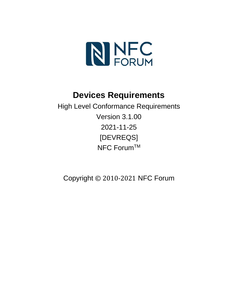

# **Devices Requirements**

High Level Conformance Requirements Version 3.1.00 2021-11-25 [DEVREQS] NFC Forum™

Copyright © 2010-2021 NFC Forum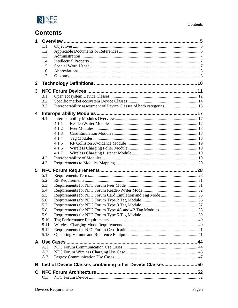

# **Contents**

|                  | 1.1          |                                                                      |  |
|------------------|--------------|----------------------------------------------------------------------|--|
|                  | 1.2          |                                                                      |  |
|                  | 1.3          |                                                                      |  |
|                  | 1.4          |                                                                      |  |
|                  | 1.5          |                                                                      |  |
|                  | 1.6          |                                                                      |  |
|                  | 1.7          |                                                                      |  |
| $\boldsymbol{2}$ |              |                                                                      |  |
| 3                |              |                                                                      |  |
|                  | 3.1          |                                                                      |  |
|                  | 3.2          |                                                                      |  |
|                  | 3.3          | Interoperability assessment of Device Classes of both categories  15 |  |
| 4                |              |                                                                      |  |
|                  | 4.1          |                                                                      |  |
|                  |              | 4.1.1                                                                |  |
|                  |              | 4.1.2                                                                |  |
|                  |              | 4.1.3                                                                |  |
|                  |              | 4.1.4                                                                |  |
|                  |              | 4.1.5                                                                |  |
|                  |              | 4.1.6                                                                |  |
|                  |              | 4.1.7                                                                |  |
|                  | 4.2          |                                                                      |  |
|                  |              |                                                                      |  |
|                  | 4.3          |                                                                      |  |
| 5                |              |                                                                      |  |
|                  | 5.1          |                                                                      |  |
|                  | 5.2          |                                                                      |  |
|                  | 5.3          |                                                                      |  |
|                  | 5.4          |                                                                      |  |
|                  | 5.5          |                                                                      |  |
|                  | 5.6          |                                                                      |  |
|                  | 5.7          |                                                                      |  |
|                  | 5.8          |                                                                      |  |
|                  | 5.9          |                                                                      |  |
|                  | 5.10         |                                                                      |  |
|                  | 5.11         |                                                                      |  |
|                  | 5.12<br>5.13 |                                                                      |  |
|                  |              |                                                                      |  |
|                  | A.1          |                                                                      |  |
|                  | A.2          |                                                                      |  |
|                  | A.3          |                                                                      |  |
|                  |              | B. List of Device Classes containing other Device Classes50          |  |
|                  |              |                                                                      |  |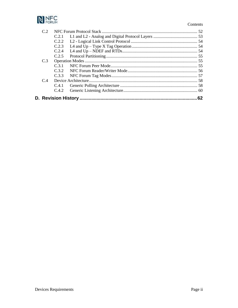

#### Contents

| C <sub>31</sub> |    |
|-----------------|----|
|                 |    |
|                 |    |
|                 |    |
|                 |    |
|                 |    |
|                 | 62 |
|                 |    |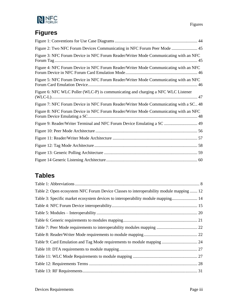

# **Figures**

| Figure 2: Two NFC Forum Devices Communicating in NFC Forum Peer Mode  45               |
|----------------------------------------------------------------------------------------|
| Figure 3: NFC Forum Device in NFC Forum Reader/Writer Mode Communicating with an NFC   |
| Figure 4: NFC Forum Device in NFC Forum Reader/Writer Mode Communicating with an NFC   |
| Figure 5: NFC Forum Device in NFC Forum Reader/Writer Mode Communicating with an NFC   |
| Figure 6: NFC WLC Poller (WLC-P) is communicating and charging a NFC WLC Listener      |
| Figure 7: NFC Forum Device in NFC Forum Reader/Writer Mode Communicating with a SC. 48 |
| Figure 8: NFC Forum Device in NFC Forum Reader/Writer Mode Communicating with an NFC   |
| Figure 9: Reader/Writer Terminal and NFC Forum Device Emulating a SC  49               |
|                                                                                        |
|                                                                                        |
|                                                                                        |
|                                                                                        |
|                                                                                        |

# **Tables**

| Table 2: Open ecosystem NFC Forum Device Classes to interoperability module mapping  12 |  |
|-----------------------------------------------------------------------------------------|--|
| Table 3: Specific market ecosystem devices to interoperability module mapping 14        |  |
|                                                                                         |  |
|                                                                                         |  |
|                                                                                         |  |
|                                                                                         |  |
|                                                                                         |  |
|                                                                                         |  |
|                                                                                         |  |
|                                                                                         |  |
|                                                                                         |  |
|                                                                                         |  |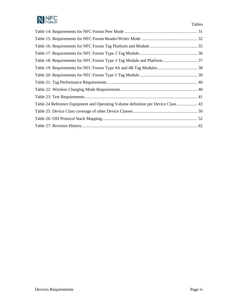

| Table 24 Reference Equipment and Operating Volume definition per Device Class  43 |  |
|-----------------------------------------------------------------------------------|--|
|                                                                                   |  |
|                                                                                   |  |
|                                                                                   |  |

Tables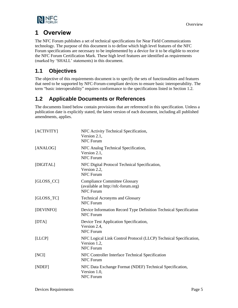

# <span id="page-6-0"></span>**1 Overview**

The NFC Forum publishes a set of technical specifications for Near Field Communications technology. The purpose of this document is to define which high level features of the NFC Forum specifications are necessary to be implemented by a device for it to be eligible to receive the NFC Forum Certification Mark. These high level features are identified as requirements (marked by 'SHALL' statements) in this document.

# <span id="page-6-1"></span>**1.1 Objectives**

The objective of this requirements document is to specify the sets of functionalities and features that need to be supported by NFC-Forum-compliant devices to ensure basic interoperability. The term "basic interoperability" requires conformance to the specifications listed in Section [1.2.](#page-6-2)

# <span id="page-6-2"></span>**1.2 Applicable Documents or References**

The documents listed below contain provisions that are referenced in this specification. Unless a publication date is explicitly stated, the latest version of each document, including all published amendments, applies.

<span id="page-6-12"></span><span id="page-6-11"></span><span id="page-6-10"></span><span id="page-6-9"></span><span id="page-6-8"></span><span id="page-6-7"></span><span id="page-6-6"></span><span id="page-6-5"></span><span id="page-6-4"></span><span id="page-6-3"></span>

| [ACTIVITY]    | NFC Activity Technical Specification,<br>Version 2.1,<br><b>NFC Forum</b>                             |
|---------------|-------------------------------------------------------------------------------------------------------|
| [ANALOG]      | NFC Analog Technical Specification,<br>Version 2.1,<br><b>NFC Forum</b>                               |
| [DIGITAL]     | NFC Digital Protocol Technical Specification,<br>Version 2.2,<br><b>NFC Forum</b>                     |
| $[GLOSS\_CC]$ | <b>Compliance Committee Glossary</b><br>(available at http://nfc-forum.org)<br>NFC Forum              |
| $[GLOSS_TC]$  | <b>Technical Acronyms and Glossary</b><br><b>NFC Forum</b>                                            |
| [DEVINFO]     | Device Information Record Type Definition Technical Specification<br><b>NFC Forum</b>                 |
| [DTA]         | Device Test Application Specification,<br>Version 2.4,<br><b>NFC Forum</b>                            |
| [LLCP]        | NFC Logical Link Control Protocol (LLCP) Technical Specification,<br>Version 1.2,<br><b>NFC Forum</b> |
| [NCI]         | NFC Controller Interface Technical Specification<br><b>NFC Forum</b>                                  |
| [NDEF]        | NFC Data Exchange Format (NDEF) Technical Specification,<br>Version 1.0,<br><b>NFC Forum</b>          |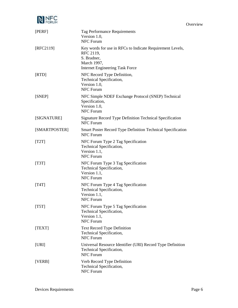

**Overview** 

<span id="page-7-12"></span><span id="page-7-11"></span><span id="page-7-10"></span><span id="page-7-9"></span><span id="page-7-8"></span><span id="page-7-7"></span><span id="page-7-6"></span><span id="page-7-5"></span><span id="page-7-4"></span><span id="page-7-3"></span><span id="page-7-2"></span><span id="page-7-1"></span><span id="page-7-0"></span>

| [PERF]        | Tag Performance Requirements<br>Version 1.0,<br><b>NFC Forum</b>                                                                               |
|---------------|------------------------------------------------------------------------------------------------------------------------------------------------|
| [RFC2119]     | Key words for use in RFCs to Indicate Requirement Levels,<br>RFC 2119,<br>S. Bradner,<br>March 1997,<br><b>Internet Engineering Task Force</b> |
| [RTD]         | NFC Record Type Definition,<br>Technical Specification,<br>Version 1.0,<br><b>NFC Forum</b>                                                    |
| [SNEP]        | NFC Simple NDEF Exchange Protocol (SNEP) Technical<br>Specification,<br>Version 1.0,<br><b>NFC Forum</b>                                       |
| [SIGNATURE]   | Signature Record Type Definition Technical Specification<br><b>NFC Forum</b>                                                                   |
| [SMARTPOSTER] | <b>Smart Poster Record Type Definition Technical Specification</b><br><b>NFC Forum</b>                                                         |
| [T2T]         | NFC Forum Type 2 Tag Specification<br>Technical Specification,<br>Version 1.1,<br><b>NFC Forum</b>                                             |
| [T3T]         | NFC Forum Type 3 Tag Specification<br>Technical Specification,<br>Version 1.1,<br><b>NFC Forum</b>                                             |
| [T4T]         | NFC Forum Type 4 Tag Specification<br>Technical Specification,<br>Version 1.1,<br><b>NFC Forum</b>                                             |
| [T5T]         | NFC Forum Type 5 Tag Specification<br>Technical Specification,<br>Version 1.1,<br><b>NFC Forum</b>                                             |
| [TEXT]        | <b>Text Record Type Definition</b><br>Technical Specification,<br><b>NFC Forum</b>                                                             |
| [URI]         | Universal Resource Identifier (URI) Record Type Definition<br>Technical Specification,<br><b>NFC Forum</b>                                     |
| [VERB]        | Verb Record Type Definition<br>Technical Specification,<br>NFC Forum                                                                           |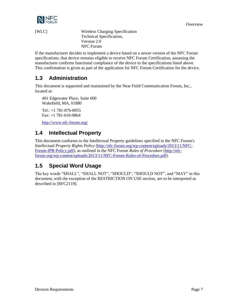

<span id="page-8-3"></span>

[WLC] Wireless Charging Specification Technical Specification, Version 2.0 NFC Forum

If the manufacturer decides to implement a device based on a newer version of the NFC Forum specifications, that device remains eligible to receive NFC Forum Certification, assuming the manufacturer confirms functional compliance of the device to the specifications listed above. This confirmation is given as part of the application for NFC Forum Certification for the device.

# <span id="page-8-0"></span>**1.3 Administration**

This document is supported and maintained by the Near Field Communication Forum, Inc., located at:

401 Edgewater Place, Suite 600 Wakefield, MA, 01880 Tel.: +1 781-876-8955

Fax: +1 781-610-9864

<http://www.nfc-forum.org/>

# <span id="page-8-1"></span>**1.4 Intellectual Property**

This document conforms to the Intellectual Property guidelines specified in the NFC Forum's *Intellectual Property Rights Policy* [\(http://nfc-forum.org/wp-content/uploads/2013/11/NFC-](http://nfc-forum.org/wp-content/uploads/2013/11/NFC-Forum-IPR-Policy.pdf)[Forum-IPR-Policy.pdf\)](http://nfc-forum.org/wp-content/uploads/2013/11/NFC-Forum-IPR-Policy.pdf), as outlined in the NFC Forum *Rules of Procedure* [\(http://nfc](http://nfc-forum.org/wp-content/uploads/2013/11/NFC-Forum-Rules-of-Procedure.pdf)[forum.org/wp-content/uploads/2013/11/NFC-Forum-Rules-of-Procedure.pdf\)](http://nfc-forum.org/wp-content/uploads/2013/11/NFC-Forum-Rules-of-Procedure.pdf).

# <span id="page-8-2"></span>**1.5 Special Word Usage**

The key words "SHALL", "SHALL NOT", "SHOULD", "SHOULD NOT", and "MAY" in this document, with the exception of the RESTRICTION ON USE section, are to be interpreted as described in [\[RFC2119\].](#page-7-0)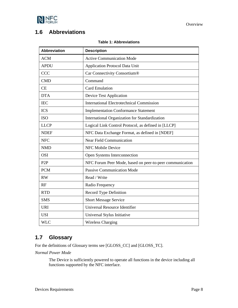

### <span id="page-9-2"></span><span id="page-9-0"></span>**1.6 Abbreviations**

#### **Table 1: Abbreviations**

| <b>Abbreviation</b> | <b>Description</b>                                       |
|---------------------|----------------------------------------------------------|
| <b>ACM</b>          | <b>Active Communication Mode</b>                         |
| <b>APDU</b>         | <b>Application Protocol Data Unit</b>                    |
| <b>CCC</b>          | Car Connectivity Consortium®                             |
| <b>CMD</b>          | Command                                                  |
| CE                  | <b>Card Emulation</b>                                    |
| <b>DTA</b>          | Device Test Application                                  |
| <b>IEC</b>          | <b>International Electrotechnical Commission</b>         |
| <b>ICS</b>          | <b>Implementation Conformance Statement</b>              |
| <b>ISO</b>          | International Organization for Standardization           |
| <b>LLCP</b>         | Logical Link Control Protocol, as defined in [LLCP]      |
| <b>NDEF</b>         | NFC Data Exchange Format, as defined in [NDEF]           |
| <b>NFC</b>          | <b>Near Field Communication</b>                          |
| <b>NMD</b>          | <b>NFC Mobile Device</b>                                 |
| <b>OSI</b>          | Open Systems Interconnection                             |
| P <sub>2</sub> P    | NFC Forum Peer Mode, based on peer-to-peer communication |
| <b>PCM</b>          | <b>Passive Communication Mode</b>                        |
| RW                  | Read / Write                                             |
| RF                  | Radio Frequency                                          |
| <b>RTD</b>          | Record Type Definition                                   |
| <b>SMS</b>          | <b>Short Message Service</b>                             |
| <b>URI</b>          | Universal Resource Identifier                            |
| <b>USI</b>          | Universal Stylus Initiative                              |
| <b>WLC</b>          | <b>Wireless Charging</b>                                 |

# <span id="page-9-1"></span>**1.7 Glossary**

For the definitions of Glossary terms see [\[GLOSS\\_CC\]](#page-6-5) and [\[GLOSS\\_TC\].](#page-6-6)

*Normal Power Mode*

The Device is sufficiently powered to operate all functions in the device including all functions supported by the NFC interface.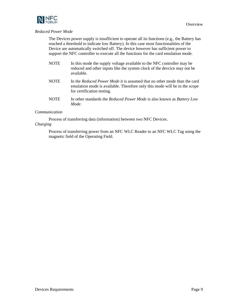

#### *Reduced Power Mode*

The Devices power supply is insufficient to operate all its functions (e.g., the Battery has reached a threshold to indicate low Battery). In this case most functionalities of the Device are automatically switched off. The device however has sufficient power to support the NFC controller to execute all the functions for the card emulation mode.

- NOTE In this mode the supply voltage available to the NFC controller may be reduced and other inputs like the system clock of the devcice may not be available.
- NOTE In the *Reduced Power Mode* it is assumed that no other mode than the card emulation mode is available. Therefore only this mode will be in the scope for certification testing.
- NOTE In other standards the *Reduced Power Mode* is also known as *Battery Low Mode*.

#### *Communication*

Process of transferring data (information) between two NFC Devices.

#### *Charging*

Process of transferring power from an NFC WLC Reader to an NFC WLC Tag using the magnetic field of the Operating Field.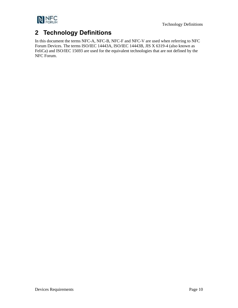

# <span id="page-11-0"></span>**2 Technology Definitions**

In this document the terms NFC-A, NFC-B, NFC-F and NFC-V are used when referring to NFC Forum Devices. The terms ISO/IEC 14443A, ISO/IEC 14443B, JIS X 6319-4 (also known as FeliCa) and ISO/IEC 15693 are used for the equivalent technologies that are not defined by the NFC Forum.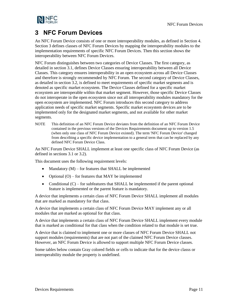

# <span id="page-12-0"></span>**3 NFC Forum Devices**

An NFC Forum Device consists of one or more interoperability modules, as defined in Section [4.](#page-18-0) Sectio[n 3](#page-12-0) defines classes of NFC Forum Devices by mapping the interoperability modules to the implementation requirements of specific NFC Forum Devices. Then this section shows the interoperability between NFC Forum Devices.

NFC Forum distinguishes between two categories of Device Classes. The first category, as detailed in section [3.1,](#page-13-0) defines Device Classes ensuring interoperability between all Device Classes. This category ensures interoperability in an open ecosystem across all Device Classes and therefore is strongly recommended by NFC Forum. The second category of Device Classes, as detailed in sectio[n 3.2,](#page-15-0) is defined to meet requirements of specific market segments and is denoted as specific market ecosystem. The Device Classes defined for a specific market ecosystem are interoperable within that market segment. However, those specific Device Classes do not interoperate in the open ecosystem since not all interoperability modules mandatory for the open ecosystem are implemented. NFC Forum introduces this second category to address application needs of specific market segments. Specific market ecosystem devices are to be implemented only for the designated market segments, and not available for other market segments.

NOTE This definition of an NFC Forum Device deviates from the definition of an NFC Forum Device contained in the previous versions of the Devices Requirements document up to version 1.5 (when only one class of NFC Forum Device existed). The term 'NFC Forum Device' changed from describing a specific device implementation to a general term that can be replaced by any defined NFC Forum Device Class.

An NFC Forum Device SHALL implement at least one specific class of NFC Forum Device (as defined in sections [3.1](#page-13-0) or [3.2\)](#page-15-0).

This document uses the following requirement levels:

- Mandatory  $(M)$  for features that SHALL be implemented
- Optional  $(O)$  for features that MAY be implemented
- Conditional  $(C)$  for subfeatures that SHALL be implemented if the parent optional feature is implemented or the parent feature is mandatory.

A device that implements a certain class of NFC Forum Device SHALL implement all modules that are marked as mandatory for that class.

A device that implements a certain class of NFC Forum Device MAY implement any or all modules that are marked as optional for that class.

A device that implements a certain class of NFC Forum Device SHALL implement every module that is marked as conditional for that class when the condition related to that module is set true.

A device that is claimed to implement one or more classes of NFC Forum Device SHALL not support modules (requirements) that are not part of the claimed NFC Forum Device classes. However, an NFC Forum Device is allowed to support multiple NFC Forum Device classes.

Some tables below contain Gray colored fields or cells to indicate that for the device classs or interoperability module the property is undefined.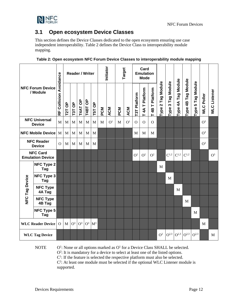

# <span id="page-13-0"></span>**3.1 Open ecosystem Device Classes**

This section defines the Device Classes dedicated to the open ecosystem ensuring use case independent interoperability. [Table 2](#page-13-1) defines the Device Class to interoperability module mapping.

| <b>NFC Forum Device</b><br>/ Module |                                            | Avoidance           |              |                |         | <b>Reader / Writer</b> |             | Initiator |                | Target    |                |                | Card<br><b>Emulation</b><br><b>Mode</b> |                    |                                                  |                       |                    |                       |                   |                   |                |
|-------------------------------------|--------------------------------------------|---------------------|--------------|----------------|---------|------------------------|-------------|-----------|----------------|-----------|----------------|----------------|-----------------------------------------|--------------------|--------------------------------------------------|-----------------------|--------------------|-----------------------|-------------------|-------------------|----------------|
|                                     |                                            | <b>RF Collision</b> | T2T OP       | T3T OP         | T4AT OP | T4BT OP                | T5T OP      | PCM       | <b>ACM</b>     | <b>NO</b> | <b>ACM</b>     | T3T Platform   | Platform<br>4AT<br>Н                    | 4B T Platform<br>Н | Tag Module<br>$\boldsymbol{\mathsf{N}}$<br>Type: | 3 Tag Module<br>Type: | Type 4A Tag Module | Tag Module<br>Type 4B | Type 5 Tag Module | <b>WLC Poller</b> | WLC Listener   |
|                                     | <b>NFC Universal</b><br><b>Device</b>      | M                   | $\mathbf M$  | M              | M       | M                      | M           | M         | O <sup>1</sup> | M         | O <sup>1</sup> | $\overline{O}$ | $\Omega$                                | $\Omega$           |                                                  |                       |                    |                       |                   | O <sup>3</sup>    |                |
| <b>NFC Mobile Device</b>            |                                            | M                   | $\mathbf{M}$ | M              | M       | M                      | M           |           |                |           |                | M              | M                                       | M                  |                                                  |                       |                    |                       |                   | O <sup>3</sup>    |                |
| <b>NFC Reader</b><br><b>Device</b>  |                                            | $\Omega$            | M            | M              | M       | M                      | M           |           |                |           |                |                |                                         |                    |                                                  |                       |                    |                       |                   | O <sup>3</sup>    |                |
|                                     | <b>NFC Card</b><br><b>Emulation Device</b> |                     |              |                |         |                        |             |           |                |           |                | O <sup>2</sup> | O <sup>2</sup>                          | O <sup>2</sup>     |                                                  | $C^{1,2}$             | $C^{1,2}$          | $C^{1,2}$             |                   |                   | O <sup>3</sup> |
|                                     | <b>NFC Type 2</b><br>Tag                   |                     |              |                |         |                        |             |           |                |           |                |                |                                         |                    | M                                                |                       |                    |                       |                   |                   |                |
|                                     | <b>NFC Type 3</b><br>Tag                   |                     |              |                |         |                        |             |           |                |           |                |                |                                         |                    |                                                  | M                     |                    |                       |                   |                   |                |
| NFC Tag Device                      | <b>NFC Type</b><br>4A Tag                  |                     |              |                |         |                        |             |           |                |           |                |                |                                         |                    |                                                  |                       | M                  |                       |                   |                   |                |
|                                     | <b>NFC Type</b><br>4B Tag                  |                     |              |                |         |                        |             |           |                |           |                |                |                                         |                    |                                                  |                       |                    | M                     |                   |                   |                |
|                                     | <b>NFC Type 5</b><br>Tag                   |                     |              |                |         |                        |             |           |                |           |                |                |                                         |                    |                                                  |                       |                    |                       | M                 |                   |                |
|                                     | <b>WLC Reader Device</b>                   | $\Omega$            | M            | O <sup>3</sup> | $O^3$   |                        | $O^3$ $M^3$ |           |                |           |                |                |                                         |                    |                                                  |                       |                    |                       |                   | M                 |                |
|                                     | <b>WLC Tag Device</b>                      |                     |              |                |         |                        |             |           |                |           |                |                |                                         |                    | O <sup>2</sup>                                   | $O^{2,3}$             | $Q^{2,3}$          | $O^{2,3}$             | $O^{2,3}$         |                   | M              |

<span id="page-13-1"></span>

|  | Table 2: Open ecosystem NFC Forum Device Classes to interoperability module mapping |  |
|--|-------------------------------------------------------------------------------------|--|
|  |                                                                                     |  |

**NOTE** 

: None or all options marked as O<sup>1</sup> for a Device Class SHALL be selected. O<sup>2</sup>: It is mandatory for a device to select at least one of the listed options.  $C<sup>1</sup>$ : If the feature is selected the respective platform must also be selected.  $C<sup>2</sup>$ : At least one module must be selected if the optional WLC Listener module is supported.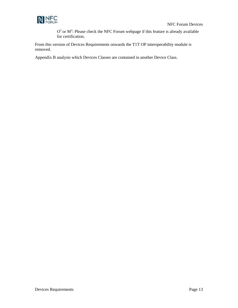

 $O<sup>3</sup>$  or  $M<sup>3</sup>$ : Please check the NFC Forum webpage if this feature is already available for certification.

From this version of Devices Requirements onwards the T1T OP interoperability module is removed.

Appendix [B](#page-51-0) analysis which Devices Classes are contained in another Device Class.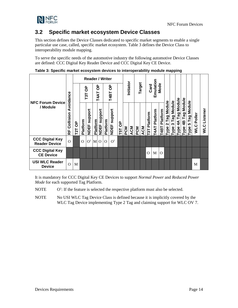### <span id="page-15-0"></span>**3.2 Specific market ecosystem Device Classes**

This section defines the Device Classes dedicated to specific market segments to enable a single particular use case, called, specific market ecosystem. [Table 3](#page-15-1) defines the Device Class to interoperability module mapping.

To serve the specific needs of the automotive industry the following automotive Device Classes are defined: CCC Digital Key Reader Device and CCC Digital Key CE Device.

|                                                |                                      |                       | <b>Reader / Writer</b> |                        |                 |                        |            |                        |                 |            |            |           |            |                           |                  |                         |                       |                                   |                                      |                                       |                            |                       |                        |
|------------------------------------------------|--------------------------------------|-----------------------|------------------------|------------------------|-----------------|------------------------|------------|------------------------|-----------------|------------|------------|-----------|------------|---------------------------|------------------|-------------------------|-----------------------|-----------------------------------|--------------------------------------|---------------------------------------|----------------------------|-----------------------|------------------------|
| <b>NFC Forum Device</b>                        | Avoidance                            |                       | T3T OP                 |                        | ზ<br>T4AT       |                        | ဝိ<br>T4BT |                        |                 | Initiator  |            | Target    |            | Emulation<br>Mode<br>Card |                  |                         |                       |                                   |                                      |                                       |                            |                       |                        |
| / Module                                       | Collision<br>$\overline{\mathbf{R}}$ | 9 <sub>D</sub><br>T2T | Platform               | support<br><b>NDEF</b> | <b>Platform</b> | support<br><b>NDEF</b> | Platform   | support<br><b>NDEF</b> | $\sigma$<br>T5T | <b>PCM</b> | <b>ACM</b> | <b>NO</b> | <b>ACM</b> | Platform<br>T3T           | Platform<br>T4AT | Platform<br><b>T4BT</b> | 2 Tag Module<br>Type: | Module<br>Taq<br><b>m</b><br>Type | Tag Module<br>$\overline{4}$<br>Type | Module<br>Tag<br>$\frac{4}{5}$<br>ype | Module<br>Tag<br>5<br>Гуре | Poller<br><b>VILC</b> | Listener<br><b>STM</b> |
| <b>CCC Digital Key</b><br><b>Reader Device</b> | $\Omega$                             |                       | $\Omega$               | O <sup>1</sup>         | M O             |                        | $\Omega$   | O <sup>1</sup>         |                 |            |            |           |            |                           |                  |                         |                       |                                   |                                      |                                       |                            |                       |                        |
| <b>CCC Digital Key</b><br><b>CE Device</b>     |                                      |                       |                        |                        |                 |                        |            |                        |                 |            |            |           |            | O                         | M                | $\Omega$                |                       |                                   |                                      |                                       |                            |                       |                        |
| <b>USI WLC Reader</b><br><b>Device</b>         | $\Omega$                             | M                     |                        |                        |                 |                        |            |                        |                 |            |            |           |            |                           |                  |                         |                       |                                   |                                      |                                       |                            | M                     |                        |

<span id="page-15-1"></span>**Table 3: Specific market ecosystem devices to interoperability module mapping**

It is mandatory for CCC Digital Key CE Devices to support *Normal Power* and *Reduced Power Mode* for each supported Tag Platform.

- **NOTE**  $O<sup>1</sup>$ : If the feature is selected the respective platform must also be selected.
- NOTE No USI WLC Tag Device Class is defined because it is implicitly covered by the WLC Tag Device implementing Type 2 Tag and claiming support for WLC OV 7.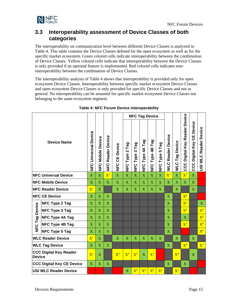

### <span id="page-16-0"></span>**3.3 Interoperability assessment of Device Classes of both categories**

The interoperability on communication level between different Device Classes is analyzed in [Table 4.](#page-16-1) This table contains the Device Classes defined for the open ecosystem as well as for the specific market ecosystem. Green colored cells indicate interoperability between the combination of Device Classes. Yellow colored cells indicate that interoperability between the Device Classes is only provided if an optional feature is implemented. Red colored cells indicates noninteroperability between the combination of Device Classes.

The interoperability analysis of [Table 4](#page-16-1) shows that interoperability is provided only for open ecosystem Device Classes. Interoperability between specific market ecosystem Device Classes and open ecosystem Device Classes is only provided for specific Device Classes and not in general. No interoperability can be assumed for specific market ecosystem Device Classes not belonging to the same ecosystem segment.

<span id="page-16-1"></span>

|                                                |                                  |                       |                                 |                                       |                         |                                             | <b>NFC Tag Device</b>   |                 |                         |                               |                               |                       |                                      |                                         |                       |
|------------------------------------------------|----------------------------------|-----------------------|---------------------------------|---------------------------------------|-------------------------|---------------------------------------------|-------------------------|-----------------|-------------------------|-------------------------------|-------------------------------|-----------------------|--------------------------------------|-----------------------------------------|-----------------------|
| <b>Device Name</b>                             |                                  |                       | Device<br>Mobile<br>)<br>기<br>기 | <b>Device</b><br>Reader<br><b>UNE</b> | Device<br>٣Ó<br>C<br>N⊨ | Tag<br>$\mathbf{\Omega}$<br>Type<br>ט<br>ב∎ | Tag<br>S<br>NFC Type    | NFC Type 4A Tag | Tag<br>NFC Type 4B      | Tag<br>ιດ<br>Type<br>io<br>D⊒ | Reader Device<br><b>VING</b>  | <b>WLC Tag Device</b> | <b>CCC Digital Key Reader Device</b> | Device<br>မ္မ<br><b>CCC Digital Key</b> | USI WLC Reader Device |
|                                                | <b>NFC Universal Device</b>      | $\mathbf X$           | $\overline{X}$                  | $\overline{\mathrm{X}}{}^{1}$         | X                       | $\overline{\textbf{X}}$                     | $\overline{\textbf{X}}$ | $\bar{X}$       | $\overline{\mathbf{X}}$ | $\overline{X}$                | $\overline{\mathrm{X}}{}^{1}$ | $\bar{X}$             | $\mathbf{X}^1$                       | $\overline{\mathbf{X}}$                 |                       |
|                                                | <b>NFC Mobile Device</b>         | $\mathbf{X}$          | $\mathbf{X}$                    | $\mathbf{X}$                          | $\mathbf{X}$            | $\mathbf{X}$                                | $\mathbf X$             | $\mathbf{X}$    | $\mathbf{X}$            | $\mathbf{X}$                  | $\mathbf{X}$                  | $\mathbf{X}$          | X                                    | $\mathbf{X}$                            |                       |
| <b>NFC Reader Device</b>                       |                                  |                       | $\overline{X}$                  |                                       | X                       | X                                           | $\overline{\textbf{X}}$ | X               | $\mathbf X$             | $\overline{X}$                |                               | X                     |                                      | $\overline{X}$                          |                       |
|                                                | <b>NFC CE Device</b>             | $\overline{\text{X}}$ | $\overline{X}$                  | X                                     |                         |                                             |                         |                 |                         |                               | X                             |                       | $X^4$                                |                                         |                       |
|                                                | <b>NFC Type 2 Tag</b>            | $\mathbf X$           | $\mathbf X$                     | X                                     |                         |                                             |                         |                 |                         |                               | X                             |                       | $X^5$                                |                                         | X                     |
|                                                | <b>NFC Type 3 Tag</b>            | $\mathbf X$           | $\mathbf X$                     | X                                     |                         |                                             |                         |                 |                         |                               | X                             |                       | $X^3$                                |                                         | $X^6$                 |
|                                                | <b>NFC Type 4A Tag</b>           | $\mathbf{X}$          | $\overline{X}$                  | X                                     |                         |                                             |                         |                 |                         |                               | $\mathbf{X}$                  |                       | X                                    |                                         | $X^6$                 |
| <b>NFC Tag Device</b>                          | <b>NFC Type 4B Tag</b>           | $\mathbf X$           | $\overline{X}$                  | $\mathbf X$                           |                         |                                             |                         |                 |                         |                               | X                             |                       | $X^3$                                |                                         | $X^6$                 |
|                                                | <b>NFC Type 5 Tag</b>            | $\mathbf X$           | $\overline{X}$                  | $\mathbf{X}$                          |                         |                                             |                         |                 |                         |                               | $\mathbf{X}$                  |                       |                                      |                                         | $X^6$                 |
|                                                | <b>WLC Reader Device</b>         | $X^1$                 | $\overline{X}$                  |                                       | $\mathbf{X}$            | $\mathbf{X}$                                | $\mathbf{X}$            | $\overline{X}$  | $\overline{X}$          | $\mathbf{X}$                  |                               | $\mathbf{X}$          |                                      | $\mathbf{X}$                            |                       |
|                                                | <b>WLC Tag Device</b>            | $\mathbf X$           | $\overline{X}$                  | X                                     |                         |                                             |                         |                 |                         |                               | $\mathbf{X}$                  |                       | $X^4$                                |                                         | $X^2$                 |
| <b>CCC Digital Key Reader</b><br><b>Device</b> |                                  |                       | $\mathbf{X}$                    |                                       | $X^4$                   | $X^5$                                       | $X^3$                   | $\mathbf{X}$    | $X^3$                   |                               |                               | $X^4$                 |                                      | $\mathbf x$                             |                       |
|                                                | <b>CCC Digital Key CE Device</b> |                       |                                 | X                                     |                         |                                             |                         |                 |                         |                               | $\mathbf{X}$                  |                       | $\mathbf{X}$                         |                                         |                       |
|                                                | <b>USI WLC Reader Device</b>     |                       |                                 |                                       |                         | $\overline{\text{X}}$                       | $X^6$                   | $X^6$           | $X^6$                   | $X^6$                         |                               | $X^2$                 |                                      |                                         |                       |

#### **Table 4: NFC Forum Device interoperability**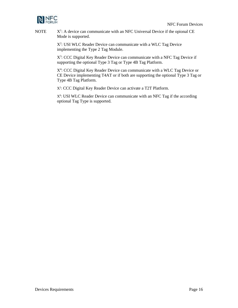

**NOTE**  $X^1$ : A device can communicate with an NFC Universal Device if the opional CE Mode is supported.

> X<sup>2</sup>: USI WLC Reader Device can communicate with a WLC Tag Device implementing the Type 2 Tag Module.

X<sup>3</sup>: CCC Digital Key Reader Device can communicate with a NFC Tag Device if supporting the optional Type 3 Tag or Type 4B Tag Platform.

X<sup>4</sup>: CCC Digital Key Reader Device can communicate with a WLC Tag Device or CE Device implementing T4AT or if both are supporting the optional Type 3 Tag or Type 4B Tag Platform.

X<sup>5</sup>: CCC Digital Key Reader Device can activate a T2T Platform.

X6 : USI WLC Reader Device can communicate with an NFC Tag if the according optional Tag Type is supported.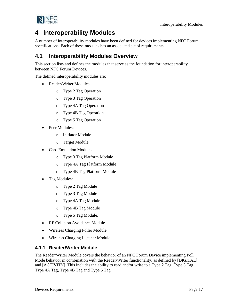

# <span id="page-18-0"></span>**4 Interoperability Modules**

A number of interoperability modules have been defined for devices implementing NFC Forum specifications. Each of these modules has an associated set of requirements.

# <span id="page-18-1"></span>**4.1 Interoperability Modules Overview**

This section lists and defines the modules that serve as the foundation for interoperability between NFC Forum Devices.

The defined interoperability modules are:

- Reader/Writer Modules
	- o Type 2 Tag Operation
	- o Type 3 Tag Operation
	- o Type 4A Tag Operation
	- o Type 4B Tag Operation
	- o Type 5 Tag Operation
- Peer Modules:
	- o Initiator Module
	- o Target Module
- Card Emulation Modules
	- o Type 3 Tag Platform Module
	- o Type 4A Tag Platform Module
	- o Type 4B Tag Platform Module
- Tag Modules:
	- o Type 2 Tag Module
	- o Type 3 Tag Module
	- o Type 4A Tag Module
	- o Type 4B Tag Module
	- o Type 5 Tag Module.
- RF Collision Avoidance Module
- Wireless Charging Poller Module
- Wireless Charging Listener Module

### <span id="page-18-2"></span>**4.1.1 Reader/Writer Module**

The Reader/Writer Module covers the behavior of an NFC Forum Device implementing Poll Mode behavior in combination with the Reader/Writer functionality, as defined by [\[DIGITAL\]](#page-6-7) and [\[ACTIVITY\].](#page-6-8) This includes the ability to read and/or write to a Type 2 Tag, Type 3 Tag, Type 4A Tag, Type 4B Tag and Type 5 Tag.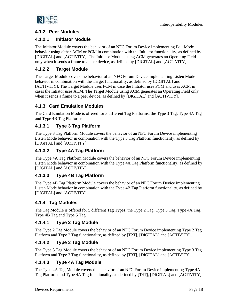

### <span id="page-19-0"></span>**4.1.2 Peer Modules**

### **4.1.2.1 Initiator Module**

The Initiator Module covers the behavior of an NFC Forum Device implementing Poll Mode behavior using either ACM or PCM in combination with the Initiator functionality, as defined by [\[DIGITAL\]](#page-6-7) and [\[ACTIVITY\].](#page-6-8) The Initiator Module using ACM generates an Operating Field only when it sends a frame to a peer device, as defined by [\[DIGITAL\]](#page-6-7) and [\[ACTIVITY\].](#page-6-8)

### **4.1.2.2 Target Module**

The Target Module covers the behavior of an NFC Forum Device implementing Listen Mode behavior in combination with the Target functionality, as defined by [\[DIGITAL\]](#page-6-7) and [\[ACTIVITY\].](#page-6-8) The Target Module uses PCM in case the Initiator uses PCM and uses ACM in cases the Intiator uses ACM. The Target Module using ACM generates an Operating Field only when it sends a frame to a peer device, as defined by [\[DIGITAL\]](#page-6-7) and [\[ACTIVITY\].](#page-6-8)

### <span id="page-19-1"></span>**4.1.3 Card Emulation Modules**

The Card Emulation Mode is offered for 3 different Tag Platforms, the Type 3 Tag, Type 4A Tag and Type 4B Tag Platforms.

### **4.1.3.1 Type 3 Tag Platform**

The Type 3 Tag Platform Module covers the behavior of an NFC Forum Device implementing Listen Mode behavior in combination with the Type 3 Tag Platform functionality, as defined by [\[DIGITAL\]](#page-6-7) and [\[ACTIVITY\].](#page-6-8)

### **4.1.3.2 Type 4A Tag Platform**

The Type 4A Tag Platform Module covers the behavior of an NFC Forum Device implementing Listen Mode behavior in combination with the Type 4A Tag Platform functionality, as defined by [\[DIGITAL\]](#page-6-7) and [\[ACTIVITY\].](#page-6-8)

### **4.1.3.3 Type 4B Tag Platform**

The Type 4B Tag Platform Module covers the behavior of an NFC Forum Device implementing Listen Mode behavior in combination with the Type 4B Tag Platform functionality, as defined by [\[DIGITAL\]](#page-6-7) and [\[ACTIVITY\].](#page-6-8)

### <span id="page-19-2"></span>**4.1.4 Tag Modules**

The Tag Module is offered for 5 different Tag Types, the Type 2 Tag, Type 3 Tag, Type 4A Tag, Type 4B Tag and Type 5 Tag.

### **4.1.4.1 Type 2 Tag Module**

The Type 2 Tag Module covers the behavior of an NFC Forum Device implementing Type 2 Tag Platform and Type 2 Tag functionality, as defined by [\[T2T\],](#page-7-1) [\[DIGITAL\]](#page-6-7) and [\[ACTIVITY\].](#page-6-8)

### **4.1.4.2 Type 3 Tag Module**

The Type 3 Tag Module covers the behavior of an NFC Forum Device implementing Type 3 Tag Platform and Type 3 Tag functionality, as defined by [\[T3T\],](#page-7-2) [\[DIGITAL\]](#page-6-7) and [\[ACTIVITY\].](#page-6-8)

### **4.1.4.3 Type 4A Tag Module**

The Type 4A Tag Module covers the behavior of an NFC Forum Device implementing Type 4A Tag Platform and Type 4A Tag functionality, as defined by [\[T4T\],](#page-7-3) [\[DIGITAL\]](#page-6-7) and [\[ACTIVITY\].](#page-6-8)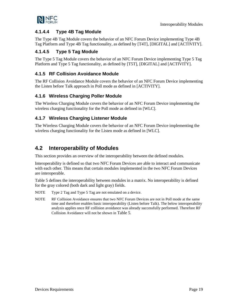

### **4.1.4.4 Type 4B Tag Module**

The Type 4B Tag Module covers the behavior of an NFC Forum Device implementing Type 4B Tag Platform and Type 4B Tag functionality, as defined b[y \[T4T\],](#page-7-3) [\[DIGITAL\]](#page-6-7) and [\[ACTIVITY\].](#page-6-8)

### **4.1.4.5 Type 5 Tag Module**

The Type 5 Tag Module covers the behavior of an NFC Forum Device implementing Type 5 Tag Platform and Type 5 Tag functionality, as defined by [\[T5T\],](#page-7-4) [\[DIGITAL\]](#page-6-7) and [\[ACTIVITY\].](#page-6-8)

### <span id="page-20-0"></span>**4.1.5 RF Collision Avoidance Module**

The RF Collision Avoidance Module covers the behavior of an NFC Forum Device implementing the Listen before Talk approach in Poll mode as defined in [\[ACTIVITY\].](#page-6-8)

### <span id="page-20-1"></span>**4.1.6 Wireless Charging Poller Module**

The Wireless Charging Module covers the behavior of an NFC Forum Device implementing the wireless charging functionality for the Poll mode as defined in [\[WLC\].](#page-8-3)

### <span id="page-20-2"></span>**4.1.7 Wireless Charging Listener Module**

The Wireless Charging Module covers the behavior of an NFC Forum Device implementing the wireless charging functionality for the Listen mode as defined in [\[WLC\].](#page-8-3)

# <span id="page-20-3"></span>**4.2 Interoperability of Modules**

This section provides an overview of the interoperability between the defined modules.

Interoperability is defined so that two NFC Forum Devices are able to interact and communicate with each other. This means that certain modules implemented in the two NFC Forum Devices are interoperable.

[Table 5](#page-21-1) defines the interoperability between modules in a matrix. No interoperability is defined for the gray colored (both dark and light gray) fields.

- NOTE Type 2 Tag and Type 5 Tag are not emulated on a device.
- NOTE RF Collision Avoidance ensures that two NFC Forum Devices are not in Poll mode at the same time and therefore enables basic interoperability (Listen before Talk). The below interoperability analysis applies once RF collision avoidance was already successfully performed. Therefore RF Collision Avoidance will not be shown in [Table 5](#page-21-1).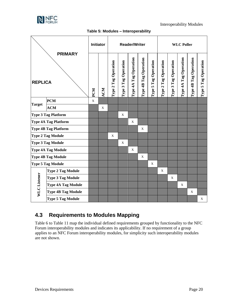

Interoperability Modules

#### **Table 5: Modules – Interoperability**

<span id="page-21-1"></span>

|                     | <b>PRIMARY</b>              |            |             | <b>Initiator</b><br><b>Reader/Writer</b> |                         |                       |                       |                      |                      | <b>WLC Poller</b>    |                       |                       |                      |  |
|---------------------|-----------------------------|------------|-------------|------------------------------------------|-------------------------|-----------------------|-----------------------|----------------------|----------------------|----------------------|-----------------------|-----------------------|----------------------|--|
| <b>REPLICA</b>      |                             | <b>PCM</b> | ACM         | Type 2 Tag Operation                     | Operation<br>Type 3 Tag | Type 4A Tag Operation | Type 4B Tag Operation | Type 5 Tag Operation | Type 2 Tag Operation | Type 3 Tag Operation | Type 4A Tag Operation | Type 4B Tag Operation | Type 5 Tag Operation |  |
| <b>Target</b>       | <b>PCM</b>                  | $\bar{X}$  |             |                                          |                         |                       |                       |                      |                      |                      |                       |                       |                      |  |
|                     | <b>ACM</b>                  |            | $\mathbf X$ |                                          |                         |                       |                       |                      |                      |                      |                       |                       |                      |  |
|                     | <b>Type 3 Tag Platform</b>  |            |             |                                          | X                       |                       |                       |                      |                      |                      |                       |                       |                      |  |
|                     | <b>Type 4A Tag Platform</b> |            |             |                                          |                         | X                     |                       |                      |                      |                      |                       |                       |                      |  |
|                     | <b>Type 4B Tag Platform</b> |            |             |                                          |                         |                       | X                     |                      |                      |                      |                       |                       |                      |  |
|                     | <b>Type 2 Tag Module</b>    |            |             | X                                        |                         |                       |                       |                      |                      |                      |                       |                       |                      |  |
|                     | <b>Type 3 Tag Module</b>    |            |             |                                          | $\mathbf X$             |                       |                       |                      |                      |                      |                       |                       |                      |  |
|                     | <b>Type 4A Tag Module</b>   |            |             |                                          |                         | $\mathbf X$           |                       |                      |                      |                      |                       |                       |                      |  |
|                     | <b>Type 4B Tag Module</b>   |            |             |                                          |                         |                       | X                     |                      |                      |                      |                       |                       |                      |  |
|                     | <b>Type 5 Tag Module</b>    |            |             |                                          |                         |                       |                       | $\mathbf X$          |                      |                      |                       |                       |                      |  |
|                     | <b>Type 2 Tag Module</b>    |            |             |                                          |                         |                       |                       |                      | X                    |                      |                       |                       |                      |  |
|                     | <b>Type 3 Tag Module</b>    |            |             |                                          |                         |                       |                       |                      |                      | X                    |                       |                       |                      |  |
| <b>WLC</b> Listener | <b>Type 4A Tag Module</b>   |            |             |                                          |                         |                       |                       |                      |                      |                      | X                     |                       |                      |  |
|                     | <b>Type 4B Tag Module</b>   |            |             |                                          |                         |                       |                       |                      |                      |                      |                       | X                     |                      |  |
|                     | <b>Type 5 Tag Module</b>    |            |             |                                          |                         |                       |                       |                      |                      |                      |                       |                       | X                    |  |

# <span id="page-21-0"></span>**4.3 Requirements to Modules Mapping**

[Table 6](#page-22-0) to [Table 11](#page-28-1) map the individual defined requirements grouped by functionality to the NFC Forum interoperability modules and indicates its applicability. If no requirement of a group applies to an NFC Forum interoperability modules, for simplicity such interoperability modules are not shown.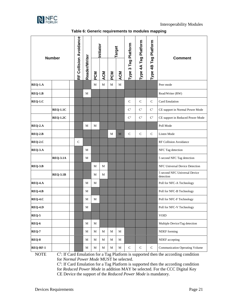

<span id="page-22-0"></span>

| <b>Number</b>          |                       | RF Collision Avoidance |                         |                 | Initiator         |                             | arget                         |                        |                      | Platform                    | <b>Comment</b>                                 |
|------------------------|-----------------------|------------------------|-------------------------|-----------------|-------------------|-----------------------------|-------------------------------|------------------------|----------------------|-----------------------------|------------------------------------------------|
|                        |                       |                        | <b>Reader/Writer</b>    | <b>NO</b>       | <b>ACM</b>        | <b>MOde</b>                 | <b>ACM</b>                    | Type 3 Tag Platform    | Type 4A Tag Platform | Tag <sup>1</sup><br>Type 4B |                                                |
| <b>REQ-1.A</b>         |                       |                        |                         | $\mathbf M$     | M                 | M                           | M                             |                        |                      |                             | Peer mode                                      |
| $REQ-1.B$              |                       |                        | M                       |                 |                   |                             |                               |                        |                      |                             | Read/Writer (RW)                               |
| $REQ-1.C$              |                       |                        |                         |                 |                   |                             |                               | $\mathsf{C}$           | $\mathsf{C}$         | $\mathbf C$                 | Card Emulation                                 |
|                        | <b>REQ-1.1C</b>       |                        |                         |                 |                   |                             |                               | $\mathbf{C}^1$         | $\mathbf{C}^1$       | $C^1$                       | CE support in Normal Power Mode                |
|                        | <b>REQ-1.2C</b>       |                        |                         |                 |                   |                             |                               | $\mathbf{C}^2$         | $\mathbf{C}^2$       | $\mathbf{C}^2$              | CE support in Reduced Power Mode               |
| <b>REQ-2.A</b>         |                       |                        | М                       | М               |                   |                             |                               |                        |                      |                             | Poll Mode                                      |
| $REQ-2.B$              |                       |                        |                         |                 |                   | M                           | $\mathbf{M}$                  | $\mathbf C$            | $\mathsf{C}$         | $\mathbf C$                 | Listen Mode                                    |
| $REQ-2.C$              |                       | $\mathbf C$            |                         |                 |                   |                             |                               |                        |                      |                             | RF Collision Avoidance                         |
| REQ-3.A                |                       |                        | M                       |                 |                   |                             |                               |                        |                      |                             | NFC Tag detection                              |
|                        | <b>REQ-3.1A</b>       |                        | M                       |                 |                   |                             |                               |                        |                      |                             | 5 second NFC Tag detection                     |
| <b>REQ-3.B</b>         |                       |                        |                         | М               | M                 |                             |                               |                        |                      |                             | NFC Universal Device Detection                 |
|                        | <b>REQ-3.1B</b>       |                        |                         | M               | М                 |                             |                               |                        |                      |                             | 5 second NFC Universal Device<br>detection     |
| <b>REQ-4.A</b>         |                       |                        | M                       | M               |                   |                             |                               |                        |                      |                             | Poll for NFC-A Technology                      |
| $REQ-4.B$              |                       |                        | М                       |                 |                   |                             |                               |                        |                      |                             | Poll for NFC-B Technology                      |
| <b>REQ-4.C</b>         |                       |                        | М                       | М               |                   |                             |                               |                        |                      |                             | Poll for NFC-F Technology                      |
| <b>REQ-4.D</b>         |                       |                        | М                       |                 |                   |                             |                               |                        |                      |                             | Poll for NFC-V Technology                      |
| REQ-5                  |                       |                        |                         |                 |                   |                             |                               |                        |                      |                             | $\rm VOID$                                     |
| REQ-6                  |                       |                        | $\mathbf M$             | $\mathbf{M}$    |                   |                             |                               |                        |                      |                             | Multiple Device/Tag detection                  |
| $REQ-7$                |                       |                        | $\mathbf M$             | M               | $\mathbf M$       | $\mathbf M$                 | M                             |                        |                      |                             | NDEF forming                                   |
| $REQ-8$                |                       |                        | $\mathbf M$             | M               | $\mathbf M$       | $\mathbf M$                 | $\mathbf M$                   |                        |                      |                             | NDEF accepting                                 |
| REQ-RF-1<br>$\sqrt{2}$ | $\sim$ 1<br>$TC \cap$ | 1 <sub>1</sub>         | $\mathbf M$<br>$\cdots$ | M<br>$\epsilon$ | M<br>$\mathbf{r}$ | $\mathbf M$<br>$\mathbf{D}$ | $\mathbf M$<br>$\overline{c}$ | ${\bf C}$<br>$\bullet$ | ${\bf C}$            | C                           | <b>Communication Operating Volume</b><br>1.1.1 |

**Table 6: Generic requirements to modules mapping**

**NOTE** 

<sup>1</sup>: If Card Emulation for a Tag Platform is supported then the according condition for *Normal Power Mode* MUST be selected.

C 2 : If Card Emulation for a Tag Platform is supported then the according condition for *Reduced Power Mode* in addition MAY be selected. For the CCC Digital Key CE Device the support of the *Reduced Power Mode* is mandatory*.*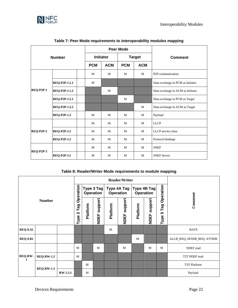

<span id="page-23-0"></span>

|                  |                      |            |                  | <b>Peer Mode</b> |               |                                   |
|------------------|----------------------|------------|------------------|------------------|---------------|-----------------------------------|
|                  | <b>Number</b>        |            | <b>Initiator</b> |                  | <b>Target</b> | <b>Comment</b>                    |
|                  |                      | <b>PCM</b> | <b>ACM</b>       | <b>PCM</b>       | <b>ACM</b>    |                                   |
|                  |                      | M          | M                | M                | M             | P <sub>2</sub> P communication    |
|                  | REQ-P2P-1.1.1        | M          |                  |                  |               | Data exchange in PCM as Initiator |
| <b>REQ-P2P-1</b> | <b>REQ-P2P-1.1.2</b> |            | M                |                  |               | Data exchange in ACM as Initiator |
|                  | <b>REQ-P2P-1.2.1</b> |            |                  | M                |               | Data exchange in PCM as Target    |
|                  | REQ-P2P-1.2.2        |            |                  |                  | M             | Data exchange in ACM as Target    |
|                  | <b>REQ-P2P-1.3</b>   | M          | M                | M                | M             | Payload                           |
|                  |                      | M          | M                | M                | M             | <b>LLCP</b>                       |
| <b>REQ-P2P-2</b> | <b>REQ-P2P-2.1</b>   | M          | M                | M                | M             | LLCP service class                |
|                  | <b>REQ-P2P-2.2</b>   | M          | M                | M                | M             | Protocol bindings                 |
|                  |                      | M          | M                | M                | M             | <b>SNEP</b>                       |
| <b>REQ-P2P-3</b> | <b>REQ-P2P-3.1</b>   | M          | M                | M                | M             | <b>SNEP Server</b>                |

#### **Table 7: Peer Mode requirements to interoperability modules mapping**

#### **Table 8: Reader/Writer Mode requirements to module mapping**

<span id="page-23-1"></span>

|                     |                   |  |                       |          |                         |          | <b>Reader/Writer</b>            |          |                                 |                  |                             |
|---------------------|-------------------|--|-----------------------|----------|-------------------------|----------|---------------------------------|----------|---------------------------------|------------------|-----------------------------|
|                     |                   |  | Operation             |          | Type 3 Tag<br>Operation |          | Type 4A Tag<br><b>Operation</b> |          | Type 4B Tag<br><b>Operation</b> | Operation        |                             |
|                     | <b>Number</b>     |  | Tag<br>$\sim$<br>Type | Platform | support<br><b>NDEF</b>  | Platform | support<br><b>NDEF</b>          | Platform | support<br><b>NDEF</b>          | Tag<br>5<br>Type | Comment                     |
| <b>REQ-9.A1</b>     |                   |  |                       |          |                         | M        |                                 |          |                                 |                  | <b>RATS</b>                 |
| <b>REQ-9.B1</b>     |                   |  |                       |          |                         |          |                                 | M        |                                 |                  | ALLB_REQ, SENSB_REQ, ATTRIB |
|                     |                   |  | M                     |          | M                       |          | M                               |          | M                               | M                | NDEF read                   |
| <b>REQ-RW-</b><br>1 | <b>REQ-RW-1.2</b> |  | M                     |          |                         |          |                                 |          |                                 |                  | T2T NDEF read               |
|                     |                   |  |                       | M        |                         |          |                                 |          |                                 |                  | T3T Platform                |
| <b>REQ-RW-1.3</b>   | <b>RW-1.3.1</b>   |  | M                     |          |                         |          |                                 |          |                                 | Payload          |                             |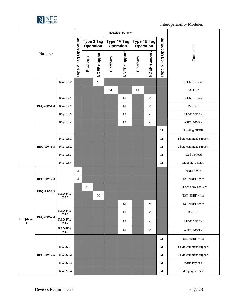

|                                                                            |                   |                  |                      |             |              |          | Reader/Writer                          |           |                  |                          |                        |
|----------------------------------------------------------------------------|-------------------|------------------|----------------------|-------------|--------------|----------|----------------------------------------|-----------|------------------|--------------------------|------------------------|
|                                                                            |                   |                  |                      | Operation   | Type 3 Tag   |          | <b>Type 4A Tag</b><br><b>Operation</b> | Operation | Type 4B Tag      | Operation                |                        |
|                                                                            | <b>Number</b>     |                  | Type 2 Tag Operation | Platform    | NDEF support | Platform | NDEF support                           | Platform  | support<br>NDEF: | Tag<br><b>5</b><br>Type: | Comment                |
|                                                                            |                   | RW-1.3.2         |                      |             | $\mathbf M$  |          |                                        |           |                  |                          | T3T NDEF read          |
|                                                                            |                   |                  |                      |             |              | M        |                                        | М         |                  |                          | <b>ISO DEP</b>         |
|                                                                            |                   | <b>RW-1.4.1</b>  |                      |             |              |          | M                                      |           | M                |                          | T4T NDEF read          |
|                                                                            | <b>REQ-RW-1.4</b> | <b>RW-1.4.2</b>  |                      |             |              |          | M                                      |           | M                |                          | Payload                |
|                                                                            |                   | <b>RW-1.4.3</b>  |                      |             |              |          | M                                      |           | M                |                          | APDU MV 2.x            |
|                                                                            |                   | <b>RW-1.4.4</b>  |                      |             |              |          | M                                      |           | M                |                          | APDU MV3.x             |
|                                                                            |                   |                  |                      |             |              |          |                                        |           |                  | M                        | Reading NDEF           |
| <b>REQ-RW-1.5</b>                                                          | <b>RW-1.5.1</b>   |                  |                      |             |              |          |                                        |           | M                | 1 byte command support   |                        |
|                                                                            | RW-1.5.2          |                  |                      |             |              |          |                                        |           | M                | 2 byte command support   |                        |
|                                                                            |                   | RW-1.5.3         |                      |             |              |          |                                        |           |                  | M                        | Read Payload           |
|                                                                            |                   | <b>RW-1.5.4</b>  |                      |             |              |          |                                        |           |                  | M                        | <b>Mapping Version</b> |
|                                                                            |                   |                  | $\mathbf M$          |             |              |          |                                        |           |                  |                          | NDEF write             |
|                                                                            | <b>REQ-RW-2.2</b> |                  | M                    |             |              |          |                                        |           |                  |                          | T2T NDEF write         |
|                                                                            |                   |                  |                      | $\mathbf M$ |              |          |                                        |           |                  |                          | T3T send payload size  |
|                                                                            | <b>REQ-RW-2.3</b> | REQ-RW-<br>2.3.1 |                      |             | М            |          |                                        |           |                  |                          | T3T NDEF write         |
|                                                                            |                   |                  |                      |             |              |          | M                                      |           | M                |                          | T4T NDEF write         |
|                                                                            |                   | REQ-RW-<br>2.4.1 |                      |             |              |          | M                                      |           | M                |                          | Payload                |
| <b>REQ-RW-2.4</b><br><b>REQ-RW-</b><br>$\overline{2}$<br><b>REQ-RW-2.5</b> | REQ-RW-<br>2.4.2  |                  |                      |             |              | М        |                                        | M         |                  | APDU MV 2.x              |                        |
|                                                                            |                   | REQ-RW-<br>2.4.3 |                      |             |              |          | M                                      |           | M                |                          | APDU MV3.x             |
|                                                                            |                   |                  |                      |             |              |          |                                        |           |                  | M                        | T5T NDEF write         |
|                                                                            |                   | <b>RW-2.5.1</b>  |                      |             |              |          |                                        |           |                  | M                        | 1 byte command support |
|                                                                            |                   | RW-2.5.2         |                      |             |              |          |                                        |           |                  | $\mathbf M$              | 2 byte command support |
|                                                                            |                   | RW-2.5.3         |                      |             |              |          |                                        |           |                  | M                        | Write Payload          |
|                                                                            |                   | RW-2.5.4         |                      |             |              |          |                                        |           |                  | M                        | <b>Mapping Version</b> |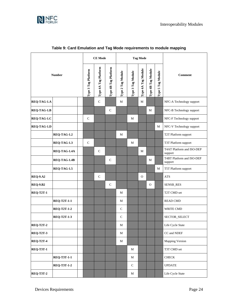

<span id="page-25-0"></span>

|                  |                    |  |                     | <b>CE Mode</b>       |                      |                   |                   | <b>Tag Mode</b>    |                    |                   |                                      |
|------------------|--------------------|--|---------------------|----------------------|----------------------|-------------------|-------------------|--------------------|--------------------|-------------------|--------------------------------------|
|                  | <b>Number</b>      |  | Type 3 Tag Platform | Type 4A Tag Platform | Type 4B Tag Platform | Type 2 Tag Module | Type 3 Tag Module | Type 4A Tag Module | Type 4B Tag Module | Type 5 Tag Module | <b>Comment</b>                       |
| REQ-TAG-1.A      |                    |  |                     | $\mathbf C$          |                      | M                 |                   | M                  |                    |                   | NFC-A Technology support             |
| REQ-TAG-1.B      |                    |  |                     |                      | $\mathbf C$          |                   |                   |                    | $\mathbf M$        |                   | NFC-B Technology support             |
| REQ-TAG-1.C      |                    |  | $\mathbf C$         |                      |                      |                   | М                 |                    |                    |                   | NFC-F Technology support             |
| REQ-TAG-1.D      |                    |  |                     |                      |                      |                   |                   |                    |                    | М                 | NFC-V Technology support             |
|                  | <b>REQ-TAG-1.2</b> |  |                     |                      |                      | M                 |                   |                    |                    |                   | T2T Platform support                 |
|                  | <b>REQ-TAG-1.3</b> |  | $\mathsf C$         |                      |                      |                   | M                 |                    |                    |                   | T3T Platform support                 |
|                  | REQ-TAG-1.4A       |  |                     | $\mathsf{C}$         |                      |                   |                   | M                  |                    |                   | T4AT Platform and ISO-DEP<br>support |
|                  | REQ-TAG-1.4B       |  |                     |                      | $\mathbf C$          |                   |                   |                    | M                  |                   | T4BT Platform and ISO-DEP<br>support |
|                  | REQ-TAG-1.5        |  |                     |                      |                      |                   |                   |                    |                    | M                 | T5T Platform support                 |
| <b>REQ-9.A2</b>  |                    |  |                     | $\mathcal{C}$        |                      |                   |                   | $\Omega$           |                    |                   | <b>ATS</b>                           |
| <b>REQ-9.B2</b>  |                    |  |                     |                      | $\mathbf C$          |                   |                   |                    | $\mathbf{O}$       |                   | SENSB_RES                            |
| <b>REQ-T2T-1</b> |                    |  |                     |                      |                      | М                 |                   |                    |                    |                   | T2T CMD set                          |
|                  | <b>REQ-T2T-1-1</b> |  |                     |                      |                      | М                 |                   |                    |                    |                   | <b>READ CMD</b>                      |
|                  | <b>REQ-T2T-1-2</b> |  |                     |                      |                      | $\mathsf{C}$      |                   |                    |                    |                   | WRITE CMD                            |
|                  | <b>REQ-T2T-1-3</b> |  |                     |                      |                      | $\mathbf C$       |                   |                    |                    |                   | SECTOR_SELECT                        |
| <b>REQ-T2T-2</b> |                    |  |                     |                      |                      | M                 |                   |                    |                    |                   | Life Cycle State                     |
| <b>REQ-T2T-3</b> |                    |  |                     |                      |                      | M                 |                   |                    |                    |                   | CC and NDEF                          |
| REQ-T2T-4        |                    |  |                     |                      |                      | $\mathbf M$       |                   |                    |                    |                   | Mapping Version                      |
| <b>REQ-T3T-1</b> |                    |  |                     |                      |                      |                   | $\mathbf M$       |                    |                    |                   | T3T CMD set                          |
|                  | <b>REQ-T3T-1-1</b> |  |                     |                      |                      |                   | $\mathbf M$       |                    |                    |                   | <b>CHECK</b>                         |
|                  | <b>REQ-T3T-1-2</b> |  |                     |                      |                      |                   | $\mathsf{C}$      |                    |                    |                   | <b>UPDATE</b>                        |
| <b>REQ-T3T-2</b> |                    |  |                     |                      |                      |                   | М                 |                    |                    |                   | Life Cycle State                     |

### **Table 9: Card Emulation and Tag Mode requirements to module mapping**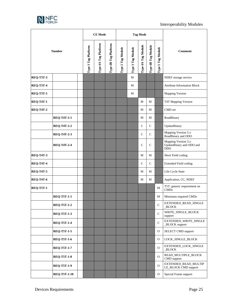

|                  |                     |  |                     | <b>CE Mode</b>       |                      |                   |                   | <b>Tag Mode</b>    |                    |                   |                                                               |  |
|------------------|---------------------|--|---------------------|----------------------|----------------------|-------------------|-------------------|--------------------|--------------------|-------------------|---------------------------------------------------------------|--|
|                  | <b>Number</b>       |  | Type 3 Tag Platform | Type 4A Tag Platform | Type 4B Tag Platform | Type 2 Tag Module | Type 3 Tag Module | Type 4A Tag Module | Type 4B Tag Module | Type 5 Tag Module | <b>Comment</b>                                                |  |
| <b>REQ-T3T-3</b> |                     |  |                     |                      |                      |                   | M                 |                    |                    |                   | NDEF storage service                                          |  |
| <b>REQ-T3T-4</b> |                     |  |                     |                      |                      |                   | M                 |                    |                    |                   | <b>Attribute Information Block</b>                            |  |
| <b>REQ-T3T-5</b> |                     |  |                     |                      |                      |                   | М                 |                    |                    |                   | <b>Mapping Version</b>                                        |  |
| <b>REQ-T4T-1</b> |                     |  |                     |                      |                      |                   |                   | М                  | M                  |                   | T4T Mapping Version                                           |  |
| <b>REQ-T4T-2</b> |                     |  |                     |                      |                      |                   |                   | М                  | M                  |                   | CMD set                                                       |  |
|                  | <b>REQ-T4T-2-1</b>  |  |                     |                      |                      |                   |                   | M                  | M                  |                   | ReadBinary                                                    |  |
|                  | <b>REQ-T4T-2-2</b>  |  |                     |                      |                      |                   |                   | $\mathsf{C}$       | $\mathcal{C}$      |                   | UpdateBinary                                                  |  |
|                  | <b>REQ-T4T-2-3</b>  |  |                     |                      |                      |                   |                   | $\mathsf{C}$       | $\mathsf{C}$       |                   | Mapping Version 3.x<br>ReadBinary and ODO                     |  |
|                  | <b>REQ-T4T-2-4</b>  |  |                     |                      |                      |                   |                   | C                  | $\mathsf{C}$       |                   | Mapping Version 3.x<br>UpdateBinary and ODO and<br><b>DDO</b> |  |
| <b>REQ-T4T-3</b> |                     |  |                     |                      |                      |                   |                   | M                  | M                  |                   | Short Field coding                                            |  |
| <b>REQ-T4T-4</b> |                     |  |                     |                      |                      |                   |                   | $\mathsf{C}$       | $\mathcal{C}$      |                   | <b>Extended Field coding</b>                                  |  |
| <b>REQ-T4T-5</b> |                     |  |                     |                      |                      |                   |                   | М                  | М                  |                   | Life Cycle State                                              |  |
| <b>REQ-T4T-6</b> |                     |  |                     |                      |                      |                   |                   | М                  | М                  |                   | Application, CC, NDEF                                         |  |
| <b>REQ-T5T-1</b> |                     |  |                     |                      |                      |                   |                   |                    |                    | М                 | T5T: generic requirement on<br>CMDs                           |  |
|                  | <b>REQ-T5T-1-1</b>  |  |                     |                      |                      |                   |                   |                    |                    | М                 | Minimum required CMDs                                         |  |
|                  | <b>REQ-T5T-1-2</b>  |  |                     |                      |                      |                   |                   |                    |                    | C                 | EXTENDED READ SINGLE<br>BLOCK                                 |  |
|                  | <b>REQ-T5T-1-3</b>  |  |                     |                      |                      |                   |                   |                    |                    | $\mathbf C$       | WRITE_SINGLE_BLOCK<br>support                                 |  |
|                  | <b>REQ-T5T-1-4</b>  |  |                     |                      |                      |                   |                   |                    |                    | $\mathsf{C}$      | EXTENDED_WRITE_SINGLE<br>_BLOCK support                       |  |
|                  | <b>REQ-T5T-1-5</b>  |  |                     |                      |                      |                   |                   |                    |                    | $\mathcal{O}$     | SELECT CMD support                                            |  |
|                  | <b>REQ-T5T-1-6</b>  |  |                     |                      |                      |                   |                   |                    |                    | $\mathcal{O}$     | LOCK_SINGLE_BLOCK                                             |  |
|                  | <b>REQ-T5T-1-7</b>  |  |                     |                      |                      |                   |                   |                    |                    | $\mathcal{O}$     | EXTENDED_LOCK_SINGLE<br>BLOCK                                 |  |
|                  | <b>REQ-T5T-1-8</b>  |  |                     |                      |                      |                   |                   |                    |                    | $\mathcal{O}$     | READ_MULTIPLE_BLOCK<br>CMD support                            |  |
|                  | <b>REQ-T5T-1-9</b>  |  |                     |                      |                      |                   |                   |                    |                    | $\mathbf{O}$      | EXTENDED_READ_MULTIP<br>LE_BLOCK CMD support                  |  |
|                  | <b>REQ-T5T-1-10</b> |  |                     |                      |                      |                   |                   |                    |                    | $\mathcal{O}$     | Special Frame support                                         |  |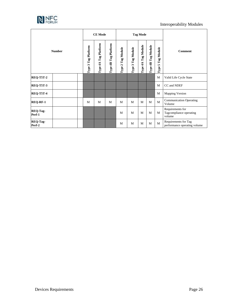

### Interoperability Modules

|                           |               | <b>CE Mode</b>          |                                         |                      |                                               | <b>Tag Mode</b>      |                              |                       |                                   |                                                       |
|---------------------------|---------------|-------------------------|-----------------------------------------|----------------------|-----------------------------------------------|----------------------|------------------------------|-----------------------|-----------------------------------|-------------------------------------------------------|
|                           | <b>Number</b> | Tag Platform<br>Type 3' | Platform<br>Tag <sub>1</sub><br>Type 4A | Type 4B Tag Platform | Tag Module<br>$\mathbf{a}$<br>$\mathbf{Type}$ | Tag Module<br>Type 3 | <b>Tag Module</b><br>Type 4A | Tag Module<br>Type 4B | <b>Tag Module</b><br>in.<br>Type. | <b>Comment</b>                                        |
| <b>REQ-T5T-2</b>          |               |                         |                                         |                      |                                               |                      |                              |                       | M                                 | Valid Life Cycle State                                |
| <b>REQ-T5T-3</b>          |               |                         |                                         |                      |                                               |                      |                              |                       | M                                 | CC and NDEF                                           |
| <b>REQ-T5T-4</b>          |               |                         |                                         |                      |                                               |                      |                              |                       | M                                 | <b>Mapping Version</b>                                |
| <b>REQ-RF-1</b>           |               | M                       | M                                       | M                    | M                                             | M                    | M                            | M                     | M                                 | <b>Communication Operating</b><br>Volume              |
| <b>REQ-Tag-</b><br>Perf-1 |               |                         |                                         |                      | M                                             | M                    | M                            | M                     | M                                 | Requirements for<br>Tagcompliance operating<br>volume |
| <b>REQ-Tag-</b><br>Perf-2 |               |                         |                                         |                      | M                                             | M                    | M                            | M                     | M                                 | Requirements for Tag<br>performance operating volume  |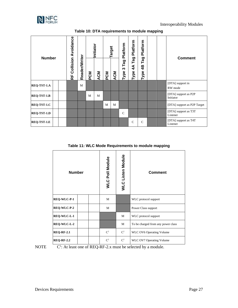

<span id="page-28-0"></span>

| <b>Number</b>      |  | Avoidance<br>Collision<br>눈 | Reader/Writer | PCM | Initiator<br>ACM | <b>PCM</b> | Target<br><b>ACM</b> | Platform<br>Tag<br>ო<br>Type | Platform<br>Tag<br>$\widetilde{\mathcal{A}}$<br>Type | Platform<br>Tag<br>4B<br>Type |  | <b>Comment</b>                    |
|--------------------|--|-----------------------------|---------------|-----|------------------|------------|----------------------|------------------------------|------------------------------------------------------|-------------------------------|--|-----------------------------------|
| REQ-TST-1.A        |  |                             | M             |     |                  |            |                      |                              |                                                      |                               |  | [DTA] support in<br>RW mode       |
| <b>REQ-TST-1.B</b> |  |                             |               | M   | M                |            |                      |                              |                                                      |                               |  | [DTA] support as P2P<br>Initiator |
| REQ-TST-1.C        |  |                             |               |     |                  | M          | M                    |                              |                                                      |                               |  | [DTA] support as P2P Target       |
| REQ-TST-1.D        |  |                             |               |     |                  |            |                      | $\mathbf C$                  |                                                      |                               |  | [DTA] support as T3T<br>Listener  |
| <b>REQ-TST-1.E</b> |  |                             |               |     |                  |            |                      |                              | C                                                    | C                             |  | [DTA] support as T4T<br>Listener  |

**Table 10: DTA requirements to module mapping**

**Table 11: WLC Mode Requirements to module mapping**

<span id="page-28-1"></span>

| <b>Number</b>      |  | <b>WLC Poll Module</b> | <b>WLC Listen Module</b> | <b>Comment</b>                     |
|--------------------|--|------------------------|--------------------------|------------------------------------|
| REQ-WLC-P-1        |  | M                      |                          | WLC protocol support               |
| <b>REQ-WLC-P-2</b> |  | M                      |                          | Power Class support                |
| <b>REQ-WLC-L-1</b> |  |                        | M                        | WLC protocol support               |
| <b>REQ-WLC-L-2</b> |  |                        | M                        | To be charged from any power class |
| <b>REQ-RF-2.1</b>  |  | C <sup>1</sup>         | C <sup>1</sup>           | WLC OV6 Operating Volume           |
| <b>REQ-RF-2.2</b>  |  | C <sup>1</sup>         | $\mathbf{C}^1$           | WLC OV7 Operating Volume           |

 $NOTE$ 

<sup>1</sup>: At least one of REQ-RF-2.x must be selected by a module.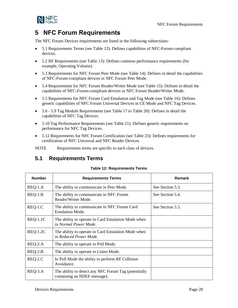NFC Forum Requirements



# <span id="page-29-0"></span>**5 NFC Forum Requirements**

The NFC Forum Devices requirements are listed in the following subsections:

- [5.1](#page-29-1) [Requirements](#page-29-1) Terms (see [Table 12\)](#page-29-2): Defines capabilities of NFC-Forum-compliant devices.
- [5.2](#page-32-0) [RF Requirements](#page-32-0) (see [Table 13\)](#page-32-2): Defines common performance requirements (for example, Operating Volume).
- [5.3](#page-32-1) [Requirements for NFC Forum Peer Mode](#page-32-1) (see [Table 14\)](#page-32-3): Defines in detail the capabilities of NFC-Forum-compliant devices in NFC Forum Peer Mode.
- [5.4](#page-33-0) [Requirements for NFC Forum Reader/Writer Mode](#page-33-0) (se[e Table 15\)](#page-33-1): Defines in detail the capabilities of NFC-Forum-compliant devices in NFC Forum Reader/Writer Mode.
- [5.5](#page-36-0) [Requirements for NFC Forum Card Emulation and Tag Mode](#page-36-0) (see [Table 16\)](#page-36-1): Defines generic capabilities of NFC Forum Universal Devices in CE Mode and NFC Tag Devices.
- [5.6](#page-37-0) [5.9](#page-40-0) Tag Module Requirements (see [Table 17](#page-37-1) to [Table 20\)](#page-40-1): Defines in detail the capabilities of NFC Tag Devices.
- [5.10](#page-41-0) [Tag Performance Requirements](#page-41-0) (see [Table 21\)](#page-41-2): Defines generic requirements on performance for NFC Tag Devices.
- [5.12](#page-42-0) Requirements [for NFC Forum Certification](#page-42-0) (see [Table 23\)](#page-42-2): Defines requirements for certification of NFC Universal and NFC Reader Devices.

NOTE Requirements terms are specific to each class of devices.

# <span id="page-29-2"></span><span id="page-29-1"></span>**5.1 Requirements Terms**

#### **Table 12: Requirements Terms**

| <b>Number</b> | <b>Requirements Terms</b>                                                            | Remark           |
|---------------|--------------------------------------------------------------------------------------|------------------|
| $REQ-1.A$     | The ability to communicate in Peer Mode.                                             | See Section 5.3. |
| $REQ-1.B$     | The ability to communicate in NFC Forum<br>Reader/Writer Mode.                       | See Section 5.4. |
| $REQ-1.C$     | The ability to communicate in NFC Forum Card<br><b>Emulation Mode.</b>               | See Section 5.5. |
| $REQ-1.1C$    | The ability to operate in Card Emulation Mode when<br>in Normal Power Mode.          |                  |
| $REQ-1.2C$    | The ability to operate in Card Emulation Mode when<br>in Reduced Power Mode.         |                  |
| REQ-2.A       | The ability to operate in Poll Mode.                                                 |                  |
| $REQ-2.B$     | The ability to operate in Listen Mode.                                               |                  |
| REQ-2.C       | In Poll Mode the ability to perform RF Collision<br>Avoidance.                       |                  |
| REQ-3.A       | The ability to detect any NFC Forum Tag (potentially<br>containing an NDEF message). |                  |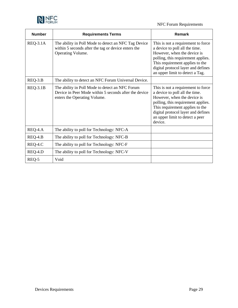

### NFC Forum Requirements

| <b>Number</b>   | <b>Requirements Terms</b>                                                                                                                | Remark                                                                                                                                                                                                                                                           |
|-----------------|------------------------------------------------------------------------------------------------------------------------------------------|------------------------------------------------------------------------------------------------------------------------------------------------------------------------------------------------------------------------------------------------------------------|
| <b>REQ-3.1A</b> | The ability in Poll Mode to detect an NFC Tag Device<br>within 5 seconds after the tag or device enters the<br>Operating Volume.         | This is not a requirement to force<br>a device to poll all the time.<br>However, when the device is<br>polling, this requirement applies.<br>This requirement applies to the<br>digital protocol layer and defines<br>an upper limit to detect a Tag.            |
| REQ-3.B         | The ability to detect an NFC Forum Universal Device.                                                                                     |                                                                                                                                                                                                                                                                  |
| <b>REQ-3.1B</b> | The ability in Poll Mode to detect an NFC Forum<br>Device in Peer Mode within 5 seconds after the device<br>enters the Operating Volume. | This is not a requirement to force<br>a device to poll all the time.<br>However, when the device is<br>polling, this requirement applies.<br>This requirement applies to the<br>digital protocol layer and defines<br>an upper limit to detect a peer<br>device. |
| REQ-4.A         | The ability to poll for Technology: NFC-A                                                                                                |                                                                                                                                                                                                                                                                  |
| REQ-4.B         | The ability to poll for Technology: NFC-B                                                                                                |                                                                                                                                                                                                                                                                  |
| REQ-4.C         | The ability to poll for Technology: NFC-F                                                                                                |                                                                                                                                                                                                                                                                  |
| REQ-4.D         | The ability to poll for Technology: NFC-V                                                                                                |                                                                                                                                                                                                                                                                  |
| REQ-5           | Void                                                                                                                                     |                                                                                                                                                                                                                                                                  |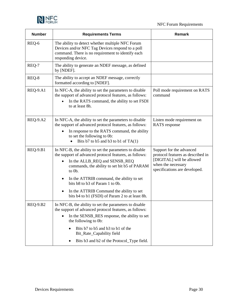



| <b>Number</b>   | <b>Requirements Terms</b>                                                                                                                                                                                                                                                                                                                                                                  | Remark                                                                                                                                            |
|-----------------|--------------------------------------------------------------------------------------------------------------------------------------------------------------------------------------------------------------------------------------------------------------------------------------------------------------------------------------------------------------------------------------------|---------------------------------------------------------------------------------------------------------------------------------------------------|
| REQ-6           | The ability to detect whether multiple NFC Forum<br>Devices and/or NFC Tag Devices respond to a poll<br>command. There is no requirement to identify each<br>responding device.                                                                                                                                                                                                            |                                                                                                                                                   |
| REQ-7           | The ability to generate an NDEF message, as defined<br>by [NDEF].                                                                                                                                                                                                                                                                                                                          |                                                                                                                                                   |
| REQ-8           | The ability to accept an NDEF message, correctly<br>formatted according to [NDEF].                                                                                                                                                                                                                                                                                                         |                                                                                                                                                   |
| <b>REQ-9.A1</b> | In NFC-A, the ability to set the parameters to disable<br>the support of advanced protocol features, as follows:<br>In the RATS command, the ability to set FSDI<br>to at least 8h.                                                                                                                                                                                                        | Poll mode requirement on RATS<br>command                                                                                                          |
| <b>REQ-9.A2</b> | In NFC-A, the ability to set the parameters to disable<br>the support of advanced protocol features, as follows:<br>In response to the RATS command, the ability<br>to set the following to 0b:<br>Bits b7 to b5 and b3 to b1 of $TA(1)$<br>$\bullet$                                                                                                                                      | Listen mode requirement on<br><b>RATS</b> response                                                                                                |
| <b>REQ-9.B1</b> | In NFC-B, the ability to set the parameters to disable<br>the support of advanced protocol features, as follows:<br>In the ALLB_REQ and SENSB_REQ<br>commands, the ability to set bit b5 of PARAM<br>to 0b.<br>In the ATTRIB command, the ability to set<br>bits b8 to b3 of Param 1 to 0b.<br>In the ATTRIB Command the ability to set<br>bits b4 to b1 (FSDI) of Param 2 to at least 8h. | Support for the advanced<br>protocol features as described in<br>[DIGITAL] will be allowed<br>when the necessary<br>specifications are developed. |
| <b>REQ-9.B2</b> | In NFC-B, the ability to set the parameters to disable<br>the support of advanced protocol features, as follows:<br>In the SENSB_RES response, the ability to set<br>$\bullet$<br>the following to 0b:<br>Bits b7 to b5 and b3 to b1 of the<br>Bit_Rate_Capability field<br>Bits b3 and b2 of the Protocol_Type field.                                                                     |                                                                                                                                                   |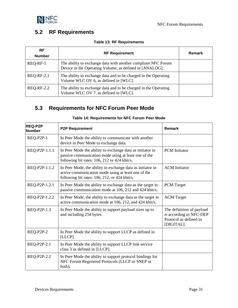



# <span id="page-32-2"></span><span id="page-32-0"></span>**5.2 RF Requirements**

| RF<br><b>Number</b> | <b>RF Requirement</b>                                                                                                    | Remark |
|---------------------|--------------------------------------------------------------------------------------------------------------------------|--------|
| REQ-RF-1            | The ability to exchange data with another compliant NFC Forum<br>Device in the Operating Volume, as defined in [ANALOG]. |        |
| <b>REQ-RF-2.1</b>   | The ability to exchange data and to be charged in the Operating<br>Volume WLC OV 6, as defined in [WLC].                 |        |
| <b>REQ-RF-2.2</b>   | The ability to exchange data and to be charged in the Operating<br>Volume WLC OV 7, as defined in [WLC].                 |        |

# <span id="page-32-3"></span><span id="page-32-1"></span>**5.3 Requirements for NFC Forum Peer Mode**

| <b>REQ-P2P</b><br><b>Number</b> | <b>P2P Requirement</b>                                                                                                                                             | <b>Remark</b>                                                                                |
|---------------------------------|--------------------------------------------------------------------------------------------------------------------------------------------------------------------|----------------------------------------------------------------------------------------------|
| REQ-P2P-1                       | In Peer Mode the ability to communicate with another<br>device in Peer Mode to exchange data.                                                                      |                                                                                              |
| REQ-P2P-1.1.1                   | In Peer Mode the ability to exchange data as initiator in<br>passive communication mode using at least one of the<br>following bit rates: 106, 212 or 424 kbit/s.  | <b>PCM</b> Initiator                                                                         |
| REQ-P2P-1.1.2                   | In Peer Mode, the ability to exchange data as initiator in<br>active communication mode using at least one of the<br>following bit rates: 106, 212, or 424 kbit/s. | <b>ACM</b> Initiator                                                                         |
| REQ-P2P-1.2.1                   | In Peer Mode the ability to exchange data as the target in<br>passive communication mode at 106, 212 and 424 kbit/s.                                               | <b>PCM</b> Target                                                                            |
| REQ-P2P-1.2.2                   | In Peer Mode, the ability to exchange data as the target in<br>active communication mode at 106, 212, and 424 kbit/s.                                              | <b>ACM</b> Target                                                                            |
| REQ-P2P-1.3                     | In Peer Mode the ability to support payload sizes up to<br>and including 254 bytes.                                                                                | The definition of payload<br>is according to NFC-DEP<br>Protocol as defined in<br>[DIGITAL]. |
| REQ-P2P-2                       | In Peer Mode the ability to support LLCP as defined in<br>[LLCP].                                                                                                  |                                                                                              |
| REQ-P2P-2.1                     | In Peer Mode the ability to support LLCP link service<br>class 3 as defined in [LLCP].                                                                             |                                                                                              |
| REQ-P2P-2.2                     | In Peer Mode the ability to support protocol bindings for<br>NFC Forum Registered Protocols (LLCP or SNEP or<br>both).                                             |                                                                                              |

#### **Table 14: Requirements for NFC Forum Peer Mode**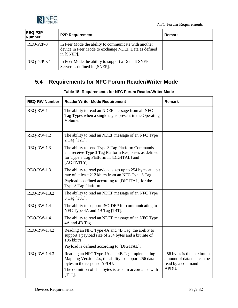



| <b>REQ-P2P</b><br>Number | <b>P2P Requirement</b>                                                                                                        | Remark |
|--------------------------|-------------------------------------------------------------------------------------------------------------------------------|--------|
| REQ-P2P-3                | In Peer Mode the ability to communicate with another<br>device in Peer Mode to exchange NDEF Data as defined<br>in $[SNEP]$ . |        |
| REQ-P2P-3.1              | In Peer Mode the ability to support a Default SNEP<br>Server as defined in [SNEP].                                            |        |

# <span id="page-33-1"></span><span id="page-33-0"></span>**5.4 Requirements for NFC Forum Reader/Writer Mode**

| <b>REQ-RW Number</b> | <b>Reader/Writer Mode Requirement</b>                                                                                                                                                                         | <b>Remark</b>                                                                        |
|----------------------|---------------------------------------------------------------------------------------------------------------------------------------------------------------------------------------------------------------|--------------------------------------------------------------------------------------|
| REQ-RW-1             | The ability to read an NDEF message from all NFC<br>Tag Types when a single tag is present in the Operating<br>Volume.                                                                                        |                                                                                      |
|                      |                                                                                                                                                                                                               |                                                                                      |
| <b>REQ-RW-1.2</b>    | The ability to read an NDEF message of an NFC Type<br>2 Tag [T2T].                                                                                                                                            |                                                                                      |
| <b>REQ-RW-1.3</b>    | The ability to send Type 3 Tag Platform Commands<br>and receive Type 3 Tag Platform Responses as defined<br>for Type 3 Tag Platform in [DIGITAL] and<br>[ACTIVITY].                                           |                                                                                      |
| REQ-RW-1.3.1         | The ability to read payload sizes up to 254 bytes at a bit<br>rate of at least 212 kbit/s from an NFC Type 3 Tag.<br>Payload is defined according to [DIGITAL] for the<br>Type 3 Tag Platform.                |                                                                                      |
| REQ-RW-1.3.2         | The ability to read an NDEF message of an NFC Type<br>3 Tag [T3T].                                                                                                                                            |                                                                                      |
| <b>REQ-RW-1.4</b>    | The ability to support ISO-DEP for communicating to<br>NFC Type 4A and 4B Tag [T4T].                                                                                                                          |                                                                                      |
| <b>REQ-RW-1.4.1</b>  | The ability to read an NDEF message of an NFC Type<br>4A and 4B Tag.                                                                                                                                          |                                                                                      |
| REQ-RW-1.4.2         | Reading an NFC Type 4A and 4B Tag, the ability to<br>support a payload size of 254 bytes and a bit rate of<br>$106$ kbit/s.                                                                                   |                                                                                      |
|                      | Payload is defined according to [DIGITAL].                                                                                                                                                                    |                                                                                      |
| REQ-RW-1.4.3         | Reading an NFC Type 4A and 4B Tag implementing<br>Mapping Version 2.x, the ability to support 256 data<br>bytes in the response APDU.<br>The definition of data bytes is used in accordance with<br>$[T4T]$ . | 256 bytes is the maximum<br>amount of data that can be<br>read by a command<br>APDU. |

#### **Table 15: Requirements for NFC Forum Reader/Writer Mode**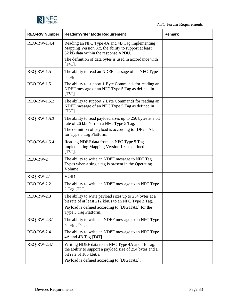

| <b>REQ-RW Number</b> | <b>Reader/Writer Mode Requirement</b>                                                                                                          | <b>Remark</b> |
|----------------------|------------------------------------------------------------------------------------------------------------------------------------------------|---------------|
| REQ-RW-1.4.4         | Reading an NFC Type 4A and 4B Tag implementing<br>Mapping Version 3.x, the ability to support at least<br>32 kB data within the response APDU. |               |
|                      | The definition of data bytes is used in accordance with<br>$[T4T]$ .                                                                           |               |
| <b>REQ-RW-1.5</b>    | The ability to read an NDEF message of an NFC Type<br>5 Tag.                                                                                   |               |
| REQ-RW-1.5.1         | The ability to support 1 Byte Commands for reading an<br>NDEF message of an NFC Type 5 Tag as defined in<br>$[T5T]$ .                          |               |
| REQ-RW-1.5.2         | The ability to support 2 Byte Commands for reading an<br>NDEF message of an NFC Type 5 Tag as defined in<br>$[T5T]$ .                          |               |
| REQ-RW-1.5.3         | The ability to read payload sizes up to 256 bytes at a bit<br>rate of 26 kbit/s from a NFC Type 5 Tag.                                         |               |
|                      | The definition of payload is according to [DIGITAL]<br>for Type 5 Tag Platform.                                                                |               |
| <b>REQ-RW-1.5.4</b>  | Reading NDEF data from an NFC Type 5 Tag<br>implementing Mapping Version 1.x as defined in<br>$[T5T]$ .                                        |               |
| REQ-RW-2             | The ability to write an NDEF message to NFC Tag<br>Types when a single tag is present in the Operating<br>Volume.                              |               |
| <b>REQ-RW-2.1</b>    | <b>VOID</b>                                                                                                                                    |               |
| <b>REQ-RW-2.2</b>    | The ability to write an NDEF message to an NFC Type<br>2 Tag [T2T].                                                                            |               |
| <b>REQ-RW-2.3</b>    | The ability to write payload sizes up to 254 bytes at a<br>bit rate of at least 212 kbit/s to an NFC Type 3 Tag.                               |               |
|                      | Payload is defined according to [DIGITAL] for the<br>Type 3 Tag Platform.                                                                      |               |
| REQ-RW-2.3.1         | The ability to write an NDEF message to an NFC Type<br>3 Tag [T3T].                                                                            |               |
| <b>REQ-RW-2.4</b>    | The ability to write an NDEF message to an NFC Type<br>4A and 4B Tag [T4T].                                                                    |               |
| REQ-RW-2.4.1         | Writing NDEF data to an NFC Type 4A and 4B Tag,<br>the ability to support a payload size of 254 bytes and a<br>bit rate of 106 kbit/s.         |               |
|                      | Payload is defined according to [DIGITAL].                                                                                                     |               |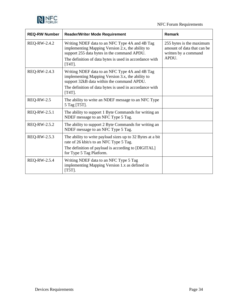

| <b>REQ-RW Number</b> | <b>Reader/Writer Mode Requirement</b>                                                                                                                                                                                     | <b>Remark</b>                                                                           |
|----------------------|---------------------------------------------------------------------------------------------------------------------------------------------------------------------------------------------------------------------------|-----------------------------------------------------------------------------------------|
| REQ-RW-2.4.2         | Writing NDEF data to an NFC Type 4A and 4B Tag<br>implementing Mapping Version 2.x, the ability to<br>support 255 data bytes in the command APDU.<br>The definition of data bytes is used in accordance with<br>$[T4T]$ . | 255 bytes is the maximum<br>amount of data that can be<br>written by a command<br>APDU. |
| REQ-RW-2.4.3         | Writing NDEF data to an NFC Type 4A and 4B Tag<br>implementing Mapping Version 3.x, the ability to<br>support 32kB data within the command APDU.                                                                          |                                                                                         |
|                      | The definition of data bytes is used in accordance with<br>$[T4T]$ .                                                                                                                                                      |                                                                                         |
| <b>REQ-RW-2.5</b>    | The ability to write an NDEF message to an NFC Type<br>5 Tag [T5T].                                                                                                                                                       |                                                                                         |
| REQ-RW-2.5.1         | The ability to support 1 Byte Commands for writing an<br>NDEF message to an NFC Type 5 Tag.                                                                                                                               |                                                                                         |
| REQ-RW-2.5.2         | The ability to support 2 Byte Commands for writing an<br>NDEF message to an NFC Type 5 Tag.                                                                                                                               |                                                                                         |
| REQ-RW-2.5.3         | The ability to write payload sizes up to 32 Bytes at a bit<br>rate of 26 kbit/s to an NFC Type 5 Tag.<br>The definition of payload is according to [DIGITAL]<br>for Type 5 Tag Platform.                                  |                                                                                         |
| REQ-RW-2.5.4         | Writing NDEF data to an NFC Type 5 Tag<br>implementing Mapping Version 1.x as defined in<br>$[T5T]$ .                                                                                                                     |                                                                                         |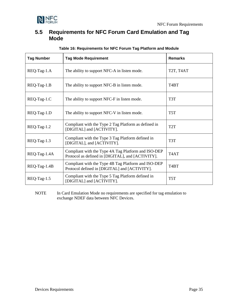

### <span id="page-36-0"></span>**5.5 Requirements for NFC Forum Card Emulation and Tag Mode**

<span id="page-36-1"></span>

| <b>Tag Number</b> | <b>Tag Mode Requirement</b>                                                                              | <b>Remarks</b>                                  |
|-------------------|----------------------------------------------------------------------------------------------------------|-------------------------------------------------|
| REQ-Tag-1.A       | The ability to support NFC-A in listen mode.                                                             | T <sub>2</sub> T, T <sub>4</sub> A <sub>T</sub> |
| REQ-Tag-1.B       | The ability to support NFC-B in listen mode.                                                             | T4BT                                            |
| REQ-Tag-1.C       | The ability to support NFC-F in listen mode.                                                             | T3T                                             |
| REQ-Tag-1.D       | The ability to support NFC-V in listen mode.                                                             | T <sub>5</sub> T                                |
| REQ-Tag-1.2       | Compliant with the Type 2 Tag Platform as defined in<br>[DIGITAL] and [ACTIVITY].                        | T <sub>2</sub> T                                |
| $REQ-Tag-1.3$     | Compliant with the Type 3 Tag Platform defined in<br>[DIGITAL], and [ACTIVITY].                          | T3T                                             |
| REQ-Tag-1.4A      | Compliant with the Type 4A Tag Platform and ISO-DEP<br>Protocol as defined in [DIGITAL], and [ACTIVITY]. | T <sub>4</sub> AT                               |
| REQ-Tag-1.4B      | Compliant with the Type 4B Tag Platform and ISO-DEP<br>Protocol defined in [DIGITAL] and [ACTIVITY].     | T <sub>4</sub> BT                               |
| $REQ-Tag-1.5$     | Compliant with the Type 5 Tag Platform defined in<br>[DIGITAL] and [ACTIVITY].                           | T <sub>5</sub> T                                |

#### **Table 16: Requirements for NFC Forum Tag Platform and Module**

NOTE In Card Emulation Mode no requirements are specified for tag emulation to exchange NDEF data between NFC Devices.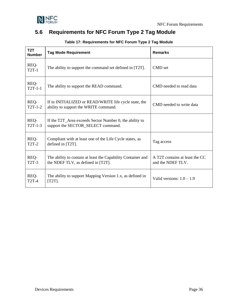

# <span id="page-37-1"></span><span id="page-37-0"></span>**5.6 Requirements for NFC Forum Type 2 Tag Module**

| T <sub>2</sub> T<br><b>Number</b> | <b>Tag Mode Requirement</b>                                                                        | <b>Remarks</b>                                      |
|-----------------------------------|----------------------------------------------------------------------------------------------------|-----------------------------------------------------|
| REQ-<br>$T2T-1$                   | The ability to support the command set defined in [T2T].                                           | CMD set                                             |
| REQ-<br>$T2T-1-1$                 | The ability to support the READ command.                                                           | CMD needed to read data                             |
| REQ-<br>$T2T-1-2$                 | If in INITIALIZED or READ/WRITE life cycle state, the<br>ability to support the WRITE command.     | CMD needed to write data                            |
| REQ-<br>$T2T-1-3$                 | If the T2T_Area exceeds Sector Number 0, the ability to<br>support the SECTOR_SELECT command.      |                                                     |
| REQ-<br><b>T2T-2</b>              | Compliant with at least one of the Life Cycle states, as<br>defined in [T2T].                      | Tag access                                          |
| REQ-<br>$T2T-3$                   | The ability to contain at least the Capability Container and<br>the NDEF TLV, as defined in [T2T]. | A T2T contains at least the CC<br>and the NDEF TLV. |
| REQ-<br><b>T2T-4</b>              | The ability to support Mapping Version 1.x, as defined in<br>$[T2T]$ .                             | Valid versions: $1.0 - 1.9$                         |

**Table 17: Requirements for NFC Forum Type 2 Tag Module**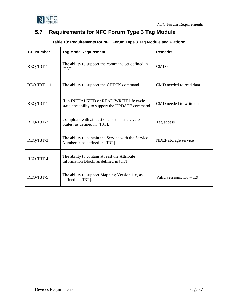

# <span id="page-38-1"></span><span id="page-38-0"></span>**5.7 Requirements for NFC Forum Type 3 Tag Module**

| <b>T3T Number</b> | <b>Tag Mode Requirement</b>                                                                     | <b>Remarks</b>              |
|-------------------|-------------------------------------------------------------------------------------------------|-----------------------------|
| REQ-T3T-1         | The ability to support the command set defined in<br>$[T3T]$ .                                  | CMD set                     |
| REQ-T3T-1-1       | The ability to support the CHECK command.                                                       | CMD needed to read data     |
| REQ-T3T-1-2       | If in INITIALIZED or READ/WRITE life cycle<br>state, the ability to support the UPDATE command. | CMD needed to write data    |
| REQ-T3T-2         | Compliant with at least one of the Life Cycle<br>States, as defined in [T3T].                   | Tag access                  |
| REQ-T3T-3         | The ability to contain the Service with the Service<br>Number 0, as defined in [T3T].           | NDEF storage service        |
| REQ-T3T-4         | The ability to contain at least the Attribute<br>Information Block, as defined in [T3T].        |                             |
| REQ-T3T-5         | The ability to support Mapping Version 1.x, as<br>defined in [T3T].                             | Valid versions: $1.0 - 1.9$ |

### **Table 18: Requirements for NFC Forum Type 3 Tag Module and Platform**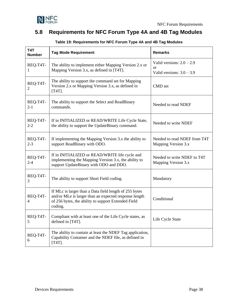

# <span id="page-39-1"></span><span id="page-39-0"></span>**5.8 Requirements for NFC Forum Type 4A and 4B Tag Modules**

| T4T<br><b>Number</b> | <b>Tag Mode Requirement</b>                                                                                                                                                       | <b>Remarks</b>                                                          |
|----------------------|-----------------------------------------------------------------------------------------------------------------------------------------------------------------------------------|-------------------------------------------------------------------------|
| REQ-T4T-<br>1        | The ability to implement either Mapping Version 2.x or<br>Mapping Version 3.x, as defined in [T4T].                                                                               | Valid versions: $2.0 - 2.9$<br><b>or</b><br>Valid versions: $3.0 - 3.9$ |
| REQ-T4T-<br>2        | The ability to support the command set for Mapping<br>Version 2.x or Mapping Version 3.x, as defined in<br>$[T4T]$ .                                                              | CMD set                                                                 |
| REQ-T4T-<br>$2 - 1$  | The ability to support the Select and ReadBinary<br>commands.                                                                                                                     | Needed to read NDEF                                                     |
| REQ-T4T-<br>$2 - 2$  | If in INITIALIZED or READ/WRITE Life Cycle State,<br>the ability to support the UpdateBinary command.                                                                             | Needed to write NDEF                                                    |
| REQ-T4T-<br>$2 - 3$  | If implementing the Mapping Version 3.x the ability to<br>support ReadBinary with ODO.                                                                                            | Needed to read NDEF from T4T<br>Mapping Version 3.x                     |
| REQ-T4T-<br>$2 - 4$  | If in INITIALIZED or READ/WRITE life cycle and<br>implementing the Mapping Version 3.x, the ability to<br>support UpdateBinary with ODO and DDO.                                  | Needed to write NDEF to T4T<br>Mapping Version 3.x                      |
| REQ-T4T-<br>3        | The ability to support Short Field coding.                                                                                                                                        | Mandatory                                                               |
| REQ-T4T-<br>4        | If MLc is larger than a Data field length of 255 bytes<br>and/or MLe is larger than an expected response length<br>of 256 bytes, the ability to support Extended Field<br>coding. | Conditional                                                             |
| REQ-T4T-<br>5        | Compliant with at least one of the Life Cycle states, as<br>defined in [T4T].                                                                                                     | Life Cycle State                                                        |
| REQ-T4T-<br>6        | The ability to contain at least the NDEF Tag application,<br>Capability Container and the NDEF file, as defined in<br>$[T4T]$ .                                                   |                                                                         |

### **Table 19: Requirements for NFC Forum Type 4A and 4B Tag Modules**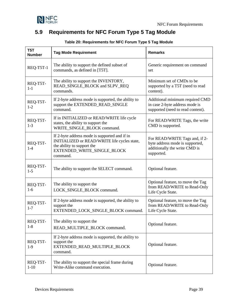

# <span id="page-40-1"></span><span id="page-40-0"></span>**5.9 Requirements for NFC Forum Type 5 Tag Module**

| T <sub>5</sub> T<br><b>Number</b> | <b>Tag Mode Requirement</b>                                                                                                                                            | <b>Remarks</b>                                                                                                   |
|-----------------------------------|------------------------------------------------------------------------------------------------------------------------------------------------------------------------|------------------------------------------------------------------------------------------------------------------|
| REQ-T5T-1                         | The ability to support the defined subset of<br>commands, as defined in [T5T].                                                                                         | Generic requirement on command<br>set                                                                            |
| REQ-T5T-<br>$1-1$                 | The ability to support the INVENTORY,<br>READ_SINGLE_BLOCK and SLPV_REQ<br>commands.                                                                                   | Minimum set of CMDs to be<br>supported by a T5T (need to read<br>content).                                       |
| REQ-T5T-<br>$1 - 2$               | If 2-byte address mode is supported, the ability to<br>support the EXTENDED_READ_SINGLE<br>command.                                                                    | Additional minimum required CMD<br>in case 2-byte address mode is<br>supported (need to read content).           |
| REQ-T5T-<br>$1-3$                 | If in INITIALIZED or READ/WRITE life cycle<br>states, the ability to support the<br>WRITE_SINGLE_BLOCK command.                                                        | For READ/WRITE Tags, the write<br>CMD is supported.                                                              |
| REQ-T5T-<br>$1 - 4$               | If 2-byte address mode is supported and if in<br>INITIALIZED or READ/WRITE life cycles state,<br>the ability to support the<br>EXTENDED_WRITE_SINGLE_BLOCK<br>command. | For READ/WRITE Tags and, if 2-<br>byte address mode is supported,<br>additionally the write CMD is<br>supported. |
| REQ-T5T-<br>$1-5$                 | The ability to support the SELECT command.                                                                                                                             | Optional feature.                                                                                                |
| REQ-T5T-<br>$1-6$                 | The ability to support the<br>LOCK_SINGLE_BLOCK command.                                                                                                               | Optional feature, to move the Tag<br>from READ/WRITE to Read-Only<br>Life Cycle State.                           |
| REQ-T5T-<br>$1 - 7$               | If 2-byte address mode is supported, the ability to<br>support the<br>EXTENDED_LOCK_SINGLE_BLOCK command.                                                              | Optional feature, to move the Tag<br>from READ/WRITE to Read-Only<br>Life Cycle State.                           |
| REQ-T5T-<br>$1 - 8$               | The ability to support the<br>READ_MULTIPLE_BLOCK command.                                                                                                             | Optional feature.                                                                                                |
| REQ-T5T-<br>$1-9$                 | If 2-byte address mode is supported, the ability to<br>support the<br>EXTENDED_READ_MULTIPLE_BLOCK<br>command.                                                         | Optional feature.                                                                                                |
| REQ-T5T-<br>$1 - 10$              | The ability to support the special frame during<br>Write-Alike command execution.                                                                                      | Optional feature.                                                                                                |

### **Table 20: Requirements for NFC Forum Type 5 Tag Module**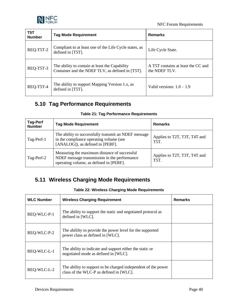

| T5T<br><b>Number</b> | <b>Tag Mode Requirement</b>                                                                        | Remarks                                             |
|----------------------|----------------------------------------------------------------------------------------------------|-----------------------------------------------------|
| REQ-T5T-2            | Compliant to at least one of the Life Cycle states, as<br>defined in [T5T].                        | Life Cycle State.                                   |
| REQ-T5T-3            | The ability to contain at least the Capability<br>Container and the NDEF TLV, as defined in [T5T]. | A T5T contains at least the CC and<br>the NDEF TLV. |
| REQ-T5T-4            | The ability to support Mapping Version 1.x, as<br>defined in [T5T].                                | Valid versions: $1.0 - 1.9$                         |

# <span id="page-41-2"></span><span id="page-41-0"></span>**5.10 Tag Performance Requirements**

| <b>Tag-Perf</b><br><b>Number</b> | <b>Tag Mode Requirement</b>                                                                                                             | <b>Remarks</b>                              |  |  |  |  |  |
|----------------------------------|-----------------------------------------------------------------------------------------------------------------------------------------|---------------------------------------------|--|--|--|--|--|
| Tag-Perf-1                       | The ability to successfully transmit an NDEF message<br>in the compliance operating volume (see<br>[ANALOG]), as defined in [PERF].     | Applies to T2T, T3T, T4T and<br><b>T5T.</b> |  |  |  |  |  |
| Tag-Perf-2                       | Measuring the maximum distance of successful<br>NDEF message transmission in the performance<br>operating volume, as defined in [PERF]. | Applies to T2T, T3T, T4T and<br>T5T.        |  |  |  |  |  |

#### **Table 21: Tag Performance Requirements**

# <span id="page-41-3"></span><span id="page-41-1"></span>**5.11 Wireless Charging Mode Requirements**

#### **Table 22: Wireless Charging Mode Requirements**

| <b>WLC Number</b> | <b>Wireless Charging Requirement</b>                                                                     | <b>Remarks</b> |
|-------------------|----------------------------------------------------------------------------------------------------------|----------------|
| REQ-WLC-P-1       | The ability to support the static and negotiated protocol as<br>defined in [WLC].                        |                |
| REQ-WLC-P-2       | The ability to provide the power level for the supported<br>power class as defined in [WLC].             |                |
| REQ-WLC-L-1       | The ability to indicate and support either the static or<br>negotiated mode as defined in [WLC].         |                |
| REQ-WLC-L-2       | The ability to support to be charged independent of the power<br>class of the WLC-P as defined in [WLC]. |                |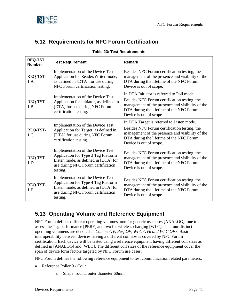

# <span id="page-42-2"></span><span id="page-42-0"></span>**5.12 Requirements for NFC Forum Certification**

| <b>REQ-TST</b><br><b>Number</b> | <b>Test Requirement</b>                                                                                                                                            | <b>Remark</b>                                                                                                                                                                                                        |
|---------------------------------|--------------------------------------------------------------------------------------------------------------------------------------------------------------------|----------------------------------------------------------------------------------------------------------------------------------------------------------------------------------------------------------------------|
| REQ-TST-<br>1.A                 | Implementation of the Device Test<br>Application for Reader/Writer mode,<br>as defined in [DTA] for use during<br>NFC Forum certification testing.                 | Besides NFC Forum certification testing, the<br>management of the presence and visibility of the<br>DTA during the lifetime of the NFC Forum<br>Device is out of scope.                                              |
| REQ-TST-<br>1.B                 | Implementation of the Device Test<br>Application for Initiator, as defined in<br>[DTA] for use during NFC Forum<br>certification testing.                          | In DTA Initiator is referred to Poll mode.<br>Besides NFC Forum certification testing, the<br>management of the presence and visibility of the<br>DTA during the lifetime of the NFC Forum<br>Device is out of scope |
| REQ-TST-<br>1.C                 | Implementation of the Device Test<br>Application for Target, as defined in<br>[DTA] for use during NFC Forum<br>certification testing.                             | In DTA Target is referred to Listen mode.<br>Besides NFC Forum certification testing, the<br>management of the presence and visibility of the<br>DTA during the lifetime of the NFC Forum<br>Device is out of scope. |
| REQ-TST-<br>1.D                 | Implementation of the Device Test<br>Application for Type 3 Tag Platform<br>Listen mode, as defined in [DTA] for<br>use during NFC Forum certification<br>testing. | Besides NFC Forum certification testing, the<br>management of the presence and visibility of the<br>DTA during the lifetime of the NFC Forum<br>Device is out of scope.                                              |
| REQ-TST-<br>1.E                 | Implementation of the Device Test<br>Application for Type 4 Tag Platform<br>Listen mode, as defined in [DTA] for<br>use during NFC Forum certification<br>testing. | Besides NFC Forum certification testing, the<br>management of the presence and visibility of the<br>DTA during the lifetime of the NFC Forum<br>Device is out of scope.                                              |

#### **Table 23: Test Requirements**

# <span id="page-42-1"></span>**5.13 Operating Volume and Reference Equipment**

NFC Forum defines different operating volumes, one for generic use cases [\[ANALOG\],](#page-6-10) one to assess the Tag performance [\[PERF\]](#page-7-6) and two for wireless charging [\[WLC\].](#page-8-3) The four distinct operating volumens are denoted as *Comms OV, Perf OV, WLC OV6 and WLC OV7*. Basic interoperability between devices having a different coil size is covered by NFC Forum certification. Each device will be tested using a reference equipment having different coil sizes as defined in [\[ANALOG\]](#page-6-10) and [\[WLC\].](#page-8-3) The different coil sizes of the reference equipment cover the span of device form factors targeted by NFC Forum use cases.

NFC Forum defines the following reference equipment to test communication related parameters:

- Reference Poller 0 Coil:
	- o Shape: round, outer diameter 60mm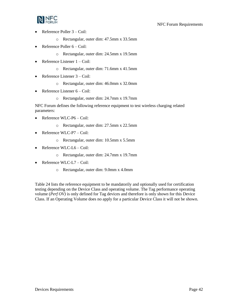

- Reference Poller 3 Coil:
	- o Rectangular, outer dim: 47.5mm x 33.5mm
- Reference Poller  $6 \text{Coil}:$ 
	- o Rectangular, outer dim: 24.5mm x 19.5mm
- Reference Listener 1 Coil:
	- o Rectangular, outer dim: 71.6mm x 41.5mm
- Reference Listener 3 Coil:
	- o Rectangular, outer dim: 46.0mm x 32.0mm
- Reference Listener 6 Coil:
	- o Rectangular, outer dim: 24.7mm x 19.7mm

NFC Forum defines the following reference equipment to test wireless charging related parameters:

- Reference WLC-P6 Coil:
	- o Rectangular, outer dim: 27.5mm x 22.5mm
- Reference WLC-P7 Coil:
	- o Rectangular, outer dim: 10.5mm x 5.5mm
- Reference WLC-L6 Coil:
	- o Rectangular, outer dim: 24.7mm x 19.7mm
- Reference WLC-L7 Coil:
	- o Rectangular, outer dim: 9.0mm x 4.0mm

[Table 24](#page-44-0) lists the reference equipment to be mandatorily and optionally used for certification testing depending on the Device Class and operating volume. The Tag performance operating volume (*Perf OV)* is only defined for Tag devices and therefore is only shown for this Device Class. If an Operating Volume does no apply for a particular Device Class it will not be shown.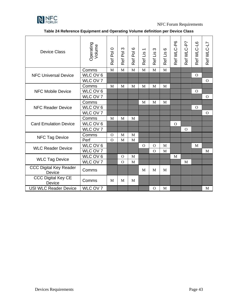

NFC Forum Requirements

| <b>Device Class</b>                            | Operating<br>Volume | $\circ$<br>Ref Pol | $\infty$<br>$\overline{P}$<br>Ref | G<br>$\overline{\mathsf{P}}$<br>Ref | $\overline{\phantom{0}}$<br>Ref Lis | $\infty$<br>Ref Lis | ဖ<br>Ref Lis | Ref WLC-P6 | Ref WLC-P7 | Ref WLC-L6   | Ref WLC-L7   |
|------------------------------------------------|---------------------|--------------------|-----------------------------------|-------------------------------------|-------------------------------------|---------------------|--------------|------------|------------|--------------|--------------|
|                                                | Comms               | $\mathbf{M}$       | M                                 | M                                   | M                                   | M                   | $\mathbf{M}$ |            |            |              |              |
| <b>NFC Universal Device</b>                    | WLC OV 6            |                    |                                   |                                     |                                     |                     |              |            |            | $\mathbf{O}$ |              |
|                                                | WLC OV 7            |                    |                                   |                                     |                                     |                     |              |            |            |              | $\Omega$     |
|                                                | Comms               | M                  | M                                 | M                                   | M                                   | M                   | M            |            |            |              |              |
| <b>NFC Mobile Device</b>                       | WLC OV 6            |                    |                                   |                                     |                                     |                     |              |            |            | $\Omega$     |              |
|                                                | WLC OV 7            |                    |                                   |                                     |                                     |                     |              |            |            |              | $\mathbf{O}$ |
|                                                | Comms               |                    |                                   |                                     | M                                   | M                   | M            |            |            |              |              |
| <b>NFC Reader Device</b>                       | WLC OV 6            |                    |                                   |                                     |                                     |                     |              |            |            | $\Omega$     |              |
|                                                | WLC OV 7            |                    |                                   |                                     |                                     |                     |              |            |            |              | $\Omega$     |
|                                                | Comms               | M                  | M                                 | M                                   |                                     |                     |              |            |            |              |              |
| <b>Card Emulation Device</b>                   | WLC OV 6            |                    |                                   |                                     |                                     |                     |              | $\Omega$   |            |              |              |
|                                                | WLC OV 7            |                    |                                   |                                     |                                     |                     |              |            | $\Omega$   |              |              |
| NFC Tag Device                                 | Comms               | $\Omega$           | M                                 | M                                   |                                     |                     |              |            |            |              |              |
|                                                | Perf                | $\Omega$           | M                                 | M                                   |                                     |                     |              |            |            |              |              |
| <b>WLC Reader Device</b>                       | WLC OV 6            |                    |                                   |                                     | $\Omega$                            | $\Omega$            | M            |            |            | M            |              |
|                                                | WLC OV 7            |                    |                                   |                                     |                                     | $\overline{O}$      | M            |            |            |              | M            |
| <b>WLC Tag Device</b>                          | WLC OV 6            |                    | $\Omega$                          | M                                   |                                     |                     |              | M          |            |              |              |
|                                                | WLC OV 7            |                    | $\Omega$                          | M                                   |                                     |                     |              |            | M          |              |              |
| <b>CCC Digital Key Reader</b><br><b>Device</b> | Comms               |                    |                                   |                                     | M                                   | M                   | M            |            |            |              |              |
| <b>CCC Digital Key CE</b><br><b>Device</b>     | Comms               | M                  | M                                 | M                                   |                                     |                     |              |            |            |              |              |
| <b>USI WLC Reader Device</b>                   | WLC OV 7            |                    |                                   |                                     |                                     | $\Omega$            | M            |            |            |              | M            |

<span id="page-44-0"></span>**Table 24 Reference Equipment and Operating Volume definition per Device Class**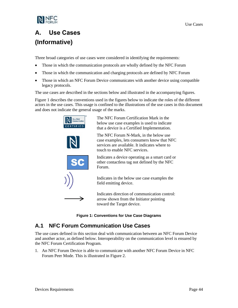

# <span id="page-45-0"></span>**A. Use Cases (Informative)**

Three broad categories of use cases were considered in identifying the requirements:

- Those in which the communication protocols are wholly defined by the NFC Forum
- Those in which the communication and charging protocols are defined by NFC Forum
- Those in which an NFC Forum Device communicates with another device using compatible legacy protocols.

The use cases are described in the sections below and illustrated in the accompanying figures.

[Figure 1](#page-45-2) describes the conventions used in the figures below to indicate the roles of the different actors in the use cases. This usage is confined to the illustrations of the use cases in this document and does not indicate the general usage of the marks.



**Figure 1: Conventions for Use Case Diagrams**

# <span id="page-45-2"></span><span id="page-45-1"></span>**A.1 NFC Forum Communication Use Cases**

The use cases defined in this section deal with communication between an NFC Forum Device and another actor, as defined below. Interoperability on the communication level is ensured by the NFC Forum Certification Program.

1. An NFC Forum Device is able to communicate with another NFC Forum Device in NFC Forum Peer Mode. This is illustrated in [Figure 2.](#page-46-0)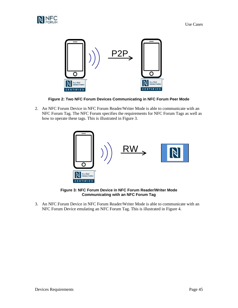



**Figure 2: Two NFC Forum Devices Communicating in NFC Forum Peer Mode**

<span id="page-46-0"></span>2. An NFC Forum Device in NFC Forum Reader/Writer Mode is able to communicate with an NFC Forum Tag. The NFC Forum specifies the requirements for NFC Forum Tags as well as how to operate these tags. This is illustrated in [Figure 3.](#page-46-1)



**Figure 3: NFC Forum Device in NFC Forum Reader/Writer Mode Communicating with an NFC Forum Tag**

<span id="page-46-1"></span>3. An NFC Forum Device in NFC Forum Reader/Writer Mode is able to communicate with an NFC Forum Device emulating an NFC Forum Tag. This is illustrated in [Figure 4.](#page-47-1)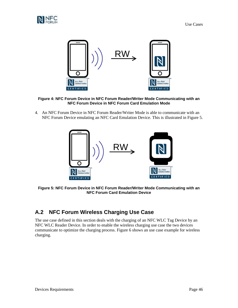



<span id="page-47-1"></span>**Figure 4: NFC Forum Device in NFC Forum Reader/Writer Mode Communicating with an NFC Forum Device in NFC Forum Card Emulation Mode**

4. An NFC Forum Device in NFC Forum Reader/Writer Mode is able to communicate with an NFC Forum Device emulating an NFC Card Emulation Device. This is illustrated in Figure 5.



<span id="page-47-2"></span>**Figure 5: NFC Forum Device in NFC Forum Reader/Writer Mode Communicating with an NFC Forum Card Emulation Device**

# <span id="page-47-0"></span>**A.2 NFC Forum Wireless Charging Use Case**

The use case defined in this section deals with the charging of an NFC WLC Tag Device by an NFC WLC Reader Device. In order to enable the wireless charging use case the two devices communicate to optimize the charging process. [Figure 6](#page-48-1) shows an use case example for wireless charging.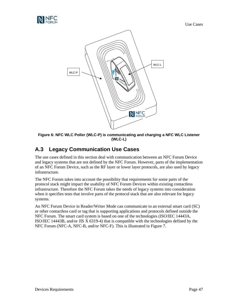



<span id="page-48-1"></span>**Figure 6: NFC WLC Poller (WLC-P) is communicating and charging a NFC WLC Listener (WLC-L)**

# <span id="page-48-0"></span>**A.3 Legacy Communication Use Cases**

The use cases defined in this section deal with communication between an NFC Forum Device and legacy systems that are not defined by the NFC Forum. However, parts of the implementation of an NFC Forum Device, such as the RF layer or lower layer protocols, are also used by legacy infrastructure.

The NFC Forum takes into account the possibility that requirements for some parts of the protocol stack might impact the usability of NFC Forum Devices within existing contactless infrastructure. Therefore the NFC Forum takes the needs of legacy systems into consideration when it specifies tests that involve parts of the protocol stack that are also relevant for legacy systems.

An NFC Forum Device in Reader/Writer Mode can communicate to an external smart card (SC) or other contactless card or tag that is supporting applications and protocols defined outside the NFC Forum. The smart card system is based on one of the technologies (ISO/IEC 14443A, ISO/IEC 14443B, and/or JIS X 6319-4) that is compatible with the technologies defined by the NFC Forum (NFC-A, NFC-B, and/or NFC-F). This is illustrated in [Figure 7.](#page-49-0)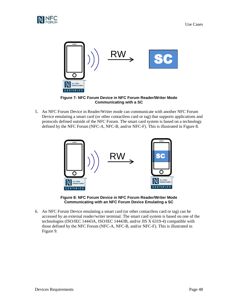



**Figure 7: NFC Forum Device in NFC Forum Reader/Writer Mode Communicating with a SC**

<span id="page-49-0"></span>5. An NFC Forum Device in Reader/Writer mode can communicate with another NFC Forum Device emulating a smart card (or other contactless card or tag) that supports applications and protocols defined outside of the NFC Forum. The smart card system is based on a technology defined by the NFC Forum (NFC-A, NFC-B, and/or NFC-F). This is illustrated i[n Figure 8.](#page-49-1)



**Figure 8: NFC Forum Device in NFC Forum Reader/Writer Mode Communicating with an NFC Forum Device Emulating a SC**

<span id="page-49-1"></span>6. An NFC Forum Device emulating a smart card (or other contactless card or tag) can be accessed by an external reader/writer terminal. The smart card system is based on one of the technologies (ISO/IEC 14443A, ISO/IEC 14443B, and/or JIS X 6319-4) compatible with those defined by the NFC Forum (NFC-A, NFC-B, and/or NFC-F). This is illustrated in [Figure 9.](#page-50-0)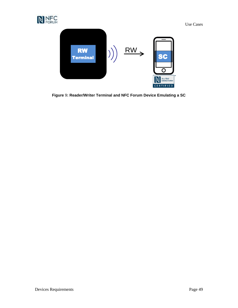



<span id="page-50-0"></span>**Figure** 9**: Reader/Writer Terminal and NFC Forum Device Emulating a SC**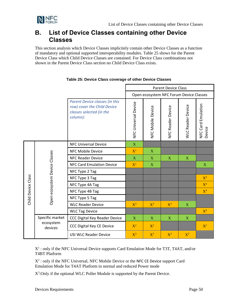

# <span id="page-51-0"></span>**B. List of Device Classes containing other Device Classes**

This section analysis which Device Classes implicitely contain other Device Classes as a function of mandatory and optional supported interoperability modules. [Table 25](#page-51-1) shows for the Parent Device Class which Child Device Classes are contained. For Device Class combinations not shown in the Parent Device Class section no Child Device Class exists.

<span id="page-51-1"></span>

|              |                               |                                                                                                       | <b>Parent Device Class</b>              |                   |                   |                          |                              |
|--------------|-------------------------------|-------------------------------------------------------------------------------------------------------|-----------------------------------------|-------------------|-------------------|--------------------------|------------------------------|
|              |                               |                                                                                                       | Open ecosystem NFC Forum Device Classes |                   |                   |                          |                              |
|              |                               | Parent Device classes (in this<br>row) cover the Child Device<br>classes selected (in the<br>column): | NFC Universal Device                    | NFC Mobile Device | NFC Reader Device | <b>WLC Reader Device</b> | NFC Card Emulation<br>Device |
|              |                               | <b>NFC Universal Device</b>                                                                           | X                                       |                   |                   |                          |                              |
|              |                               | <b>NFC Mobile Device</b>                                                                              | $X^1$                                   | X                 |                   |                          |                              |
|              |                               | <b>NFC Reader Device</b>                                                                              | $\mathbf X$                             | $\mathbf X$       | X                 | $\mathbf X$              |                              |
|              |                               | <b>NFC Card Emulation Device</b>                                                                      | $X^1$                                   | $\mathbf X$       |                   |                          | $\mathbf X$                  |
|              | Open ecosystem Device Classes | NFC Type 2 Tag                                                                                        |                                         |                   |                   |                          |                              |
| Class        |                               | NFC Type 3 Tag                                                                                        |                                         |                   |                   |                          | $X^4$                        |
|              |                               | NFC Type 4A Tag                                                                                       |                                         |                   |                   |                          | $X^4$                        |
| Child Device |                               | NFC Type 4B Tag                                                                                       |                                         |                   |                   |                          | X <sup>4</sup>               |
|              |                               | NFC Type 5 Tag                                                                                        |                                         |                   |                   |                          |                              |
|              |                               | <b>WLC Reader Device</b>                                                                              | $X^3$                                   | $X^3$             | $X^3$             | X                        |                              |
|              |                               | <b>WLC Tag Device</b>                                                                                 |                                         |                   |                   |                          | $X^4$                        |
|              | Specific market               | CCC Digital Key Reader Device                                                                         | $\mathbf{X}$                            | $\mathbf{X}$      | $\mathbf{X}$      | $\mathbf{X}$             |                              |
|              | ecosystem<br>devices          | <b>CCC Digital Key CE Device</b>                                                                      | $X^2$                                   | $X^2$             |                   |                          | $X^2$                        |
|              |                               | <b>USI WLC Reader Device</b>                                                                          | $X^3$                                   | $X^3$             | $X^3$             | $X^5$                    |                              |

#### **Table 25: Device Class coverage of other Device Classes**

 $X^1$ : only if the NFC Universal Device supports Card Emulation Mode for T3T, T4AT, and/or T4BT Platform

 $X^2$ : only if the NFC Universal, NFC Mobile Device or the NFC CE Device support Card Emulation Mode for T4AT Platform in normal and reduced Power mode

X<sup>3</sup>:Only if the optional WLC Poller Module is supported by the Parent Device.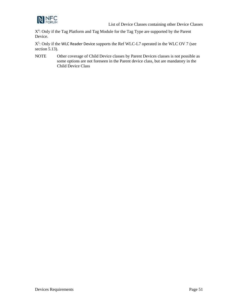

List of Device Classes containing other Device Classes

X<sup>4</sup>: Only if the Tag Platform and Tag Module for the Tag Type are supported by the Parent Device.

 $X^5$ : Only if the WLC Reader Device supports the Ref WLC-L7 operated in the WLC OV 7 (see section [5.13\)](#page-42-1).

NOTE Other coverage of Child Device classes by Parent Devices classes is not possible as some options are not foreseen in the Parent device class, but are mandatory in the Child Device Class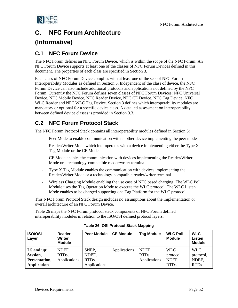

# <span id="page-53-0"></span>**C. NFC Forum Architecture**

# **(Informative)**

# <span id="page-53-1"></span>**C.1 NFC Forum Device**

The NFC Forum defines an NFC Forum Device, which is within the scope of the NFC Forum. An NFC Forum Device supports at least one of the classes of NFC Forum Devices defined in this document. The properties of each class are specified in Section [3.](#page-12-0)

Each class of NFC Forum Device complies with at least one of the sets of NFC Forum Interoperability Modules as defined in Section [3.](#page-12-0) Independent of the class of device, the NFC Forum Device can also include additional protocols and applications not defined by the NFC Forum. Currently the NFC Forum defines seven classes of NFC Forum Devices: NFC Universal Device, NFC Mobile Device, NFC Reader Device, NFC CE Device, NFC Tag Device, NFC WLC Reader and NFC WLC Tag Device. Section 3 defines which interoperability modules are mandatory or optional for a specific device class. A detailed assessment on interoperability between defined device classes is provided in Section [3.3.](#page-16-0)

# <span id="page-53-2"></span>**C.2 NFC Forum Protocol Stack**

The NFC Forum Protocol Stack contains all interoperability modules defined in Section 3:

- Peer Mode to enable communication with another device implementing the peer mode
- Reader/Writer Mode which interoperates with a device implementing either the Type X Tag Module or the CE Mode
- CE Mode enables the communication with devices implementing the Reader/Writer Mode or a technology-compatible reader/writer terminal
- Type X Tag Module enables the communication with devices implementing the Reader/Writer Mode or a technology-compatible reader/writer terminal
- Wireless Charging Module enabling the use case of NFC based charging. The WLC Poll Module uses the Tag Operation Mode to execute the WLC protocol. The WLC Listen Mode enables to be charged supporting one Tag Platform for the WLC protocol.

This NFC Forum Protocol Stack design includes no assumptions about the implementation or overall architecture of an NFC Forum Device.

[Table 26](#page-53-3) maps the NFC Forum protocol stack components of NFC Forum defined interoperability modules in relation to the ISO/OSI defined protocol layers.

<span id="page-53-3"></span>

| <b>ISO/OSI</b><br>Layer                                         | Reader<br><b>Writer</b><br><b>Module</b>    | <b>Peer Module</b>                                   | <b>CE Module</b> | <b>Tag Module</b>                           | <b>WLC Poll</b><br><b>Module</b>                | <b>WLC</b><br>Listen<br><b>Module</b>           |
|-----------------------------------------------------------------|---------------------------------------------|------------------------------------------------------|------------------|---------------------------------------------|-------------------------------------------------|-------------------------------------------------|
| $L5$ and up:<br>Session,<br>Presentation,<br><b>Application</b> | NDEF.<br>RTD <sub>s</sub> ,<br>Applications | SNEP,<br>NDEF,<br>RTD <sub>s</sub> ,<br>Applications | Applications     | NDEF.<br>RTD <sub>s</sub> ,<br>Applications | <b>WLC</b><br>protocol,<br>NDEF.<br><b>RTDs</b> | <b>WLC</b><br>protocol,<br>NDEF.<br><b>RTDs</b> |

#### **Table 26: OSI Protocol Stack Mapping**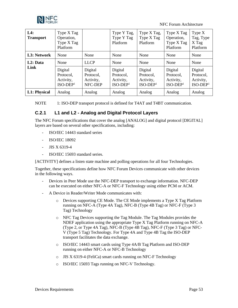

NFC Forum Architecture

| L4:<br><b>Transport</b> | Type X Tag<br>Operation,<br>Type X Tag<br>Platform |                                              | Type Y Tag,<br>Type Y Tag<br>Platform           | Type X Tag,<br>Type X Tag<br>Platform           | Type X Tag<br>Operation,<br>Type X Tag<br>Platform | Type $X$<br>Tag, Type<br>X Tag<br>Platform      |
|-------------------------|----------------------------------------------------|----------------------------------------------|-------------------------------------------------|-------------------------------------------------|----------------------------------------------------|-------------------------------------------------|
| L3: Network             | None                                               | None                                         | None                                            | None                                            | None                                               | None                                            |
| L <sub>2</sub> : Data   | None                                               | <b>LLCP</b>                                  | None                                            | None                                            | None                                               | None                                            |
| Link                    | Digital<br>Protocol.<br>Activity,<br>$ISO-DEF1$    | Digital<br>Protocol.<br>Activity,<br>NFC-DEP | Digital<br>Protocol.<br>Activity,<br>$ISO-DEF1$ | Digital<br>Protocol.<br>Activity,<br>$ISO-DEF1$ | Digital<br>Protocol,<br>Activity,<br>$ISO-DEF1$    | Digital<br>Protocol.<br>Activity,<br>$ISO-DEF1$ |
| L1: Physical            | Analog                                             | Analog                                       | Analog                                          | Analog                                          | Analog                                             | Analog                                          |

NOTE 1: ISO-DEP transport protocol is defined for T4AT and T4BT communication.

### <span id="page-54-0"></span>**C.2.1 L1 and L2 - Analog and Digital Protocol Layers**

The NFC Forum specifications that cover the analog [\[ANALOG\]](#page-6-10) and digital protocol [\[DIGITAL\]](#page-6-7) layers are based on several other specifications, including:

- ISO/IEC 14443 standard series
- ISO/IEC 18092
- JIS X 6319-4
- ISO/IEC 15693 standard series.

[\[ACTIVITY\]](#page-6-8) defines a listen state machine and polling operations for all four Technologies.

Together, these specifications define how NFC Forum Devices communicate with other devices in the following ways.

- Devices in Peer Mode use the NFC-DEP transport to exchange information. NFC-DEP can be executed on either NFC-A or NFC-F Technology using either PCM or ACM.
- A Device in Reader/Writer Mode communicates with:
	- o Devices supporting CE Mode. The CE Mode implements a Type X Tag Platform running on NFC-A (Type 4A Tag), NFC-B (Type 4B Tag) or NFC-F (Type 3 Tag) Technology
	- o NFC Tag Devices supporting the Tag Module. The Tag Modules provides the NDEF application using the appropriate Type X Tag Platform running on NFC-A (Type 2, or Type 4A Tag), NFC-B (Type 4B Tag), NFC-F (Type 3 Tag) or NFC-V (Type 5 Tag) Technology. For Type 4A and Type 4B Tag the ISO-DEP transport facilitates the data exchange.
	- o ISO/IEC 14443 smart cards using Type 4A/B Tag Platform and ISO-DEP running on either NFC-A or NFC-B Technology
	- o JIS X 6319-4 (FeliCa) smart cards running on NFC-F Technology
	- o ISO/IEC 15693 Tags running on NFC-V Technology.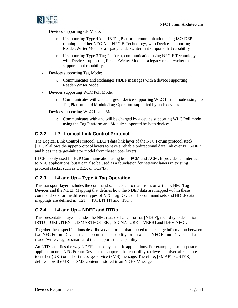

- Devices supporting CE Mode:
	- o If supporting Type 4A or 4B Tag Platform, communication using ISO-DEP running on either NFC-A or NFC-B Technology, with Devices supporting Reader/Writer Mode or a legacy reader/writer that supports that capability
	- o If supporting Type 3 Tag Platform, communication using NFC-F Technology, with Devices supporting Reader/Writer Mode or a legacy reader/writer that supports that capability.
- Devices supporting Tag Mode:
	- o Communicates and exchanges NDEF messages with a device supporting Reader/Writer Mode.
- Devices supporting WLC Poll Mode:
	- o Communicates with and charges a device supporting WLC Listen mode using the Tag Platform and Module/Tag Operation supported by both devices.
- Devices supporting WLC Listen Mode:
	- o Communicates with and will be charged by a device supporting WLC Poll mode using the Tag Platform and Module supported by both devices.

### <span id="page-55-0"></span>**C.2.2 L2 - Logical Link Control Protocol**

The Logical Link Control Protocol (LLCP) data link layer of the NFC Forum protocol stack [\[LLCP\]](#page-6-3) allows the upper protocol layers to have a reliable bidirectional data link over NFC-DEP and hides the target-initiator model from these upper layers.

LLCP is only used for P2P Communication using both, PCM and ACM. It provides an interface to NFC applications, but it can also be used as a foundation for network layers in existing protocol stacks, such as OBEX or TCP/IP.

### <span id="page-55-1"></span>**C.2.3 L4 and Up – Type X Tag Operation**

This transport layer includes the command sets needed to read from, or write to, NFC Tag Devices and the NDEF Mapping that defines how the NDEF data are mapped within these command sets for the different types of NFC Tag Device. The command sets and NDEF data mappings are defined in [\[T2T\],](#page-7-1) [\[T3T\],](#page-7-2) [\[T4T\]](#page-7-3) and [\[T5T\].](#page-7-4)

### <span id="page-55-2"></span>**C.2.4 L4 and Up – NDEF and RTDs**

This presentation layer includes the NFC data exchange format [\[NDEF\],](#page-6-4) record type definition [\[RTD\],](#page-7-7) [\[URI\],](#page-7-8) [\[TEXT\],](#page-7-9) [\[SMARTPOSTER\],](#page-7-10) [\[SIGNATURE\],](#page-7-11) [\[VERB\]](#page-7-12) and [\[DEVINFO\].](#page-6-11)

Together these specifications describe a data format that is used to exchange information between two NFC Forum Devices that supports that capability, or between a NFC Forum Device and a reader/writer, tag, or smart card that supports that capability.

An RTD specifies the way NDEF is used by specific applications. For example, a smart poster application on a NFC Forum Device that supports that capability retrieves a universal resource identifier (URI) or a short message service (SMS) message. Therefore, [\[SMARTPOSTER\]](#page-7-10) defines how the URI or SMS content is stored in an NDEF Message.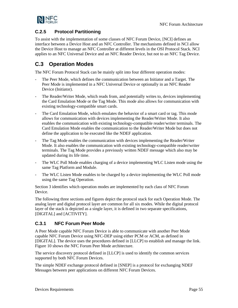

### <span id="page-56-0"></span>**C.2.5 Protocol Partitioning**

To assist with the implementation of some classes of NFC Forum Device, [\[NCI\]](#page-6-12) defines an interface between a Device Host and an NFC Controller. The mechanisms defined in NCI allow the Device Host to manage an NFC Controller at different levels in the OSI Protocol Stack. NCI applies to an NFC Universal Device and an NFC Reader Device, but not to an NFC Tag Device.

# <span id="page-56-1"></span>**C.3 Operation Modes**

The NFC Forum Protocol Stack can be mainly split into four different operation modes:

- The Peer Mode, which defines the communication between an Initiator and a Target. The Peer Mode is implemented in a NFC Universal Device or optionally in an NFC Reader Device (Initiator).
- The Reader/Writer Mode, which reads from, and potentially writes to, devices implementing the Card Emulation Mode or the Tag Mode. This mode also allows for communication with existing technology-compatible smart cards.
- The Card Emulation Mode, which emulates the behavior of a smart card or tag. This mode allows for communication with devices implementing the Reader/Writer Mode. It also enables the communication with existing technology-compatible reader/writer terminals. The Card Emulation Mode enables the communication to the Reader/Writer Mode but does not define the application to be executed like the NDEF application.
- The Tag Mode enables the communication with devices implementing the Reader/Writer Mode. It also enables the communication with existing technology-compatible reader/writer terminals. The Tag Mode provides a previously written NDEF message which also may be updated during its life time.
- The WLC Poll Mode enables charging of a device implementing WLC Listen mode using the same Tag Platform and Module.
- The WLC Listen Mode enables to be charged by a device implementing the WLC Poll mode using the same Tag Operation.

Sectio[n 3](#page-12-0) identifies which operation modes are implemented by each class of NFC Forum Device.

The following three sections and figures depict the protocol stack for each Operation Mode. The analog layer and digital protocol layer are common for all six modes. While the digital protocol layer of the stack is depicted as a single layer, it is defined in two separate specifications, [\[DIGITAL\]](#page-6-7) and [\[ACTIVITY\].](#page-6-8)

### <span id="page-56-2"></span>**C.3.1 NFC Forum Peer Mode**

A Peer Mode capable NFC Forum Device is able to communicate with another Peer Mode capable NFC Forum Device using NFC-DEP using either PCM or ACM, as defined in [\[DIGITAL\].](#page-6-7) The device uses the procedures defined in [\[LLCP\]](#page-6-3) to establish and manage the link. [Figure 10](#page-57-1) shows the NFC Forum Peer Mode architecture.

The service discovery protocol defined i[n \[LLCP\]](#page-6-3) is used to identify the common services supported by both NFC Forum Devices.

The simple NDEF exchange protocol defined in [\[SNEP\]](#page-7-5) is a protocol for exchanging NDEF Messages between peer applications on different NFC Forum Devices.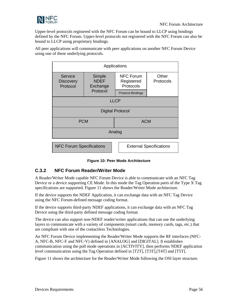

Upper-level protocols registered with the NFC Forum can be bound to LLCP using bindings defined by the NFC Forum. Upper-level protocols not registered with the NFC Forum can also be bound to LLCP using proprietary bindings.

All peer applications will communicate with peer applications on another NFC Forum Device using one of these underlying protocols.



#### **Figure 10: Peer Mode Architecture**

### <span id="page-57-1"></span><span id="page-57-0"></span>**C.3.2 NFC Forum Reader/Writer Mode**

A Reader/Writer Mode capable NFC Forum Device is able to communicate with an NFC Tag Device or a device supporting CE Mode. In this mode the Tag Operation parts of the Type X Tag specifications are supported. [Figure 11](#page-58-1) shows the Reader/Writer Mode architecture.

If the device supports the NDEF Application, it can exchange data with an NFC Tag Device using the NFC Forum-defined message coding format.

If the device supports third-party NDEF applications, it can exchange data with an NFC Tag Device using the third-party defined message coding format.

The device can also support non-NDEF reader/writer applications that can use the underlying layers to communicate with a variety of components (smart cards, memory cards, tags, etc.) that are compliant with one of the contactless Technologies.

An NFC Forum Device implementing the Reader/Writer Mode supports the RF interfaces (NFC-A, NFC-B, NFC-F and NFC-V) defined in [\[ANALOG\]](#page-6-10) and [\[DIGITAL\].](#page-6-7) It establishes communication using the poll mode operations in [\[ACTIVITY\],](#page-6-8) then performs NDEF application level communication using the Tag Operation defined in [\[T2T\],](#page-7-1) [\[T3T\]](#page-7-2)[,\[T4T\]](#page-7-3) and [\[T5T\].](#page-7-4)

[Figure 11](#page-58-1) shows the architecture for the Reader/Writer Mode following the OSI layer structure.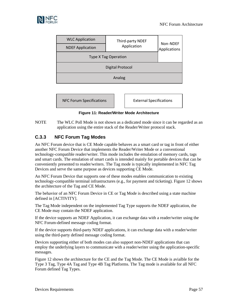

| <b>WLC Application</b>      | Third-party NDEF | Non-NDEF     |  |  |  |
|-----------------------------|------------------|--------------|--|--|--|
| <b>NDEF Application</b>     | Application      | Applications |  |  |  |
| <b>Type X Tag Operation</b> |                  |              |  |  |  |
| <b>Digital Protocol</b>     |                  |              |  |  |  |
| Analog                      |                  |              |  |  |  |
|                             |                  |              |  |  |  |

NFC Forum Specifications | | External Specifications



#### <span id="page-58-1"></span>NOTE The WLC Poll Mode is not shown as a dedicated mode since it can be regarded as an application using the entire stack of the Reader/Writer protocol stack.

### <span id="page-58-0"></span>**C.3.3 NFC Forum Tag Modes**

An NFC Forum device that is CE Mode capable behaves as a smart card or tag in front of either another NFC Forum Device that implements the Reader/Writer Mode or a conventional technology-compatible reader/writer. This mode includes the emulation of memory cards, tags and smart cards. The emulation of smart cards is intended mainly for portable devices that can be conveniently presented to reader/writers. The Tag mode is typically implemented in NFC Tag Devices and serve the same purpose as devices supporting CE Mode.

An NFC Forum Device that supports one of these modes enables communication to existing technology-compatible terminal infrastructures (e.g., for payment and ticketing). [Figure 12](#page-59-2) shows the architecture of the Tag and CE Mode.

The behavior of an NFC Forum Device in CE or Tag Mode is described using a state machine defined in [\[ACTIVITY\].](#page-6-8)

The Tag Mode independent on the implemented Tag Type supports the NDEF application, the CE Mode may contain the NDEF application.

If the device supports an NDEF Application, it can exchange data with a reader/writer using the NFC Forum-defined message coding format.

If the device supports third-party NDEF applications, it can exchange data with a reader/writer using the third-party defined message coding format.

Devices supporting either of both modes can also support non-NDEF applications that can employ the underlying layers to communicate with a reader/writer using the application-specific messages.

[Figure 12](#page-59-2) shows the architecture for the CE and the Tag Mode. The CE Mode is avialble for the Type 3 Tag, Type 4A Tag and Type 4B Tag Platforms. The Tag mode is available for all NFC Forum defined Tag Types.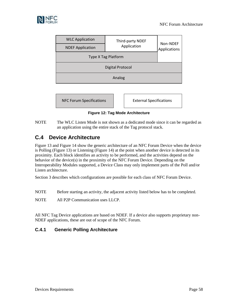![](_page_59_Picture_0.jpeg)

| <b>WLC Application</b>     | Third-party NDEF |                          |  |  |  |
|----------------------------|------------------|--------------------------|--|--|--|
| <b>NDEF Application</b>    | Application      | Non-NDEF<br>Applications |  |  |  |
| <b>Type X Tag Platform</b> |                  |                          |  |  |  |
| <b>Digital Protocol</b>    |                  |                          |  |  |  |
| Analog                     |                  |                          |  |  |  |
|                            |                  |                          |  |  |  |

![](_page_59_Figure_3.jpeg)

**Figure 12: Tag Mode Architecture**

#### <span id="page-59-2"></span>NOTE The WLC Listen Mode is not shown as a dedicated mode since it can be regarded as an application using the entire stack of the Tag protocol stack.

# <span id="page-59-0"></span>**C.4 Device Architecture**

[Figure 13](#page-60-0) and [Figure 14](#page-61-1) show the generic architecture of an NFC Forum Device when the device is Polling [\(Figure 13\)](#page-60-0) or Listening [\(Figure 14\)](#page-61-1) at the point when another device is detected in its proximity. Each block identifies an activity to be performed, and the activities depend on the behavior of the device(s) in the proximity of the NFC Forum Device. Depending on the Interoperability Modules supported, a Device Class may only implement parts of the Poll and/or Listen architecture.

Section [3](#page-12-0) describes which configurations are possible for each class of NFC Forum Device.

NOTE Before starting an activity, the adjacent activity listed below has to be completed.

NOTE All P2P Communication uses LLCP.

All NFC Tag Device applications are based on NDEF. If a device also supports proprietary non-NDEF applications, these are out of scope of the NFC Forum.

### <span id="page-59-1"></span>**C.4.1 Generic Polling Architecture**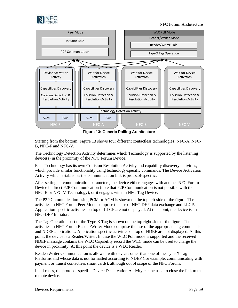![](_page_60_Picture_0.jpeg)

NFC Forum Architecture

![](_page_60_Figure_2.jpeg)

**Figure 13: Generic Polling Architecture**

<span id="page-60-0"></span>Starting from the bottom, [Figure 13](#page-60-0) shows four different contactless technologies: NFC-A, NFC-B, NFC-F and NFC-V.

The Technology Detection Activity determines which Technology is supported by the listening device(s) in the proximity of the NFC Forum Device.

Each Technology has its own Collision Resolution Activity and capability discovery activities, which provide similar functionality using technology-specific commands. The Device Activation Activity which establishes the communication link is protocol-specific.

After setting all communication parameters, the device either engages with another NFC Forum Device in direct P2P Communication (note that P2P Communication is not possible with the NFC-B or NFC-V Technology), or it engages with an NFC Tag Device.

The P2P Communication using PCM or ACM is shown on the top left side of the figure. The activities in NFC Forum Peer Mode comprise the use of NFC-DEP data exchange and LLCP. Application-specific activities on top of LLCP are not displayed. At this point, the device is an NFC-DEP Initiator.

The Tag Operation part of the Type X Tag is shown on the top right side of the figure. The activities in NFC Forum Reader/Writer Mode comprise the use of the appropriate tag commands and NDEF applications. Application specific activities on top of NDEF are not displayed. At this point, the device is a Reader/Writer. In case the WLC Poll mode is supported and the received NDEF message contains the WLC Capability record the WLC mode can be used to charge the device in proximity. At this point the device is a WLC Reader.

Reader/Writer Communication is allowed with devices other than one of the Type X Tag Platforms and whose data is not formatted according to NDEF (for example, communicating with payment or transit contactless smart cards), although out of scope of the NFC Forum.

In all cases, the protocol-specific Device Deactivation Activity can be used to close the link to the remote device.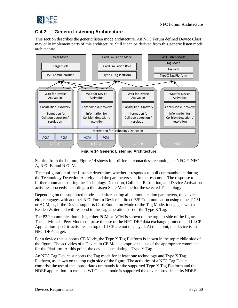![](_page_61_Picture_1.jpeg)

### <span id="page-61-0"></span>**C.4.2 Generic Listening Architecture**

This section describes the generic listen mode architecture. An NFC Forum defined Device Class may only implement parts of this architecture. Still it can be derived from this generic listen mode architecture.

![](_page_61_Figure_4.jpeg)

**Figure 14 Generic Listening Architecture**

<span id="page-61-1"></span>Starting from the bottom, [Figure 14](#page-61-1) shows four different contactless technologies: NFC-F, NFC-A, NFC-B, and NFC-V.

The configuration of the Listener determines whether it responds to poll commands sent during the Technology Detection Activity, and the parameters sent in the responses. The response to further commands during the Technology Detection, Collision Resolution, and Device Activation activities proceeds according to the Listen State Machine for the selected Technology.

Depending on the supported modes and after setting all communication parameters, the device either engages with another NFC Forum Device in direct P2P Communication using either PCM or ACM, or, if the Device supports Card Emulation Mode or the Tag Mode, it engages with a Reader/Writer and will respond to the Tag Operation part of the Type X Tag.

The P2P communication using either PCM or ACM is shown on the top left side of the figure. The activities in Peer Mode comprise the use of the NFC-DEP data exchange protocol and LLCP. Application-specific activities on top of LLCP are not displayed. At this point, the device is an NFC-DEP Target.

For a device that supports CE Mode, the Type X Tag Platform is shown in the top middle side of the figure. The activities of a Device in CE Mode comprise the use of the appropriate commands for the Platform. At this point, the device is emulating a Type Y Tag.

An NFC Tag Device supports the Tag mode for at least one technology and Type X Tag Platform, as shown on the top right side of the figure. The activities of a NFC Tag Device comprise the use of the appropriate commands for the supported Type X Tag Platform and the NDEF application. In case the WLC listen mode is supported the device provides in its NDEF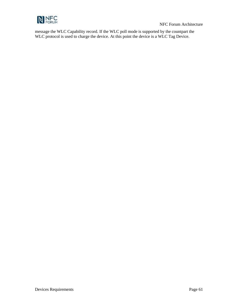![](_page_62_Picture_0.jpeg)

message the WLC Capability record. If the WLC poll mode is supported by the countpart the WLC protocol is used to charge the device. At this point the device is a WLC Tag Device.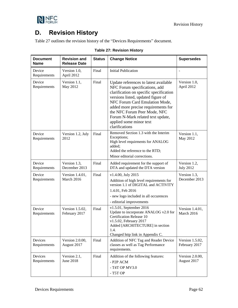![](_page_63_Picture_0.jpeg)

# <span id="page-63-0"></span>**D. Revision History**

<span id="page-63-1"></span>[Table 27](#page-63-1) outlines the revision history of the "Devices Requirements" document.

| <b>Document</b><br><b>Name</b> | <b>Revision and</b><br><b>Release Date</b> | <b>Status</b> | <b>Change Notice</b>                                                                                                                                                                                                                                                                                                                               | <b>Supersedes</b>                |
|--------------------------------|--------------------------------------------|---------------|----------------------------------------------------------------------------------------------------------------------------------------------------------------------------------------------------------------------------------------------------------------------------------------------------------------------------------------------------|----------------------------------|
| Device<br>Requirements         | Version 1.0,<br>April 2012                 | Final         | <b>Initial Publication</b>                                                                                                                                                                                                                                                                                                                         |                                  |
| Device<br>Requirements         | Version 1.1,<br>May 2012                   | Final         | Update references to latest available<br>NFC Forum specifications, add<br>clarification on specific specification<br>versions listed, updated figure of<br>NFC Forum Card Emulation Mode,<br>added more precise requirements for<br>the NFC Forum Peer Mode, NFC<br>Forum N-Mark related text update,<br>applied some minor text<br>clarifications | Version 1.0,<br>April 2012       |
| Device<br>Requirements         | Version 1.2, July<br>2012                  | Final         | Removed Section 1.3 with the Interim<br>Exceptions;<br>High level requirments for ANALOG<br>added:<br>Added the reference to the RTD;<br>Minor editorial corrections.                                                                                                                                                                              | Version 1.1,<br>May 2012         |
| Device<br>Requirements         | Version 1.3,<br>December 2013              | Final         | Added requirement for the support of<br>DTA and updated the DTA version                                                                                                                                                                                                                                                                            | Version 1.2,<br><b>July 2012</b> |
| Device<br>Requirements         | Version 1.4.01,<br>March 2016              | Final         | v1.4.00, July 2015<br>Addition of high level requirements for<br>version 1.1 of DIGITAL and ACTIVITY<br>1.4.01, Feb 2016<br>- new logo included in all occurences<br>- editorial improvements                                                                                                                                                      | Version 1.3,<br>December 2013    |
| Device<br>Requirements         | Version 1.5.02,<br>February 2017           | Final         | v1.5.01, September 2016<br>Update to incorporate ANALOG v2.0 for<br><b>Certification Release 10</b><br>v1.5.02, February 2017<br>Added [ARCHITECTURE] in section<br>1.4.<br>Changed http link in Appendix C.                                                                                                                                       | Version 1.4.01,<br>March 2016    |
| Devices<br>Requirements        | Version 2.0.00,<br>August 2017             | Final         | Addition of NFC Tag and Reader Device<br>classes as well as Tag Performance<br>requirements.                                                                                                                                                                                                                                                       | Version 1.5.02,<br>February 2017 |
| Devices<br>Requirements        | Version 2.1,<br><b>June 2018</b>           | Final         | Addition of the following features:<br>- P <sub>2</sub> P ACM<br>- T4T OP MV3.0<br>$-$ T5T OP                                                                                                                                                                                                                                                      | Version 2.0.00,<br>August 2017   |

|  | <b>Table 27: Revision History</b> |  |
|--|-----------------------------------|--|
|  |                                   |  |